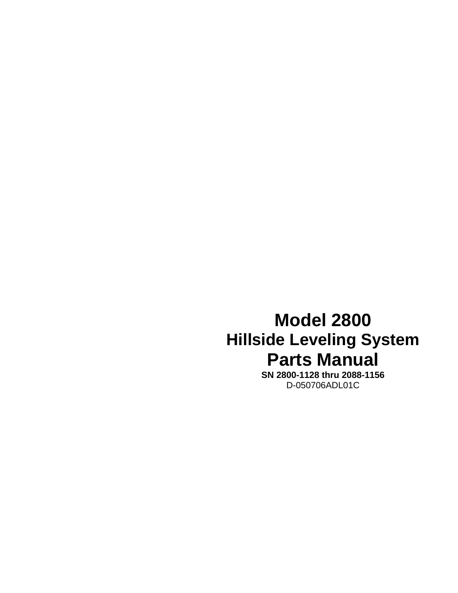## **Model 2800 Hillside Leveling System Parts Manual**

**SN 2800-1128 thru 2088-1156**  D-050706ADL01C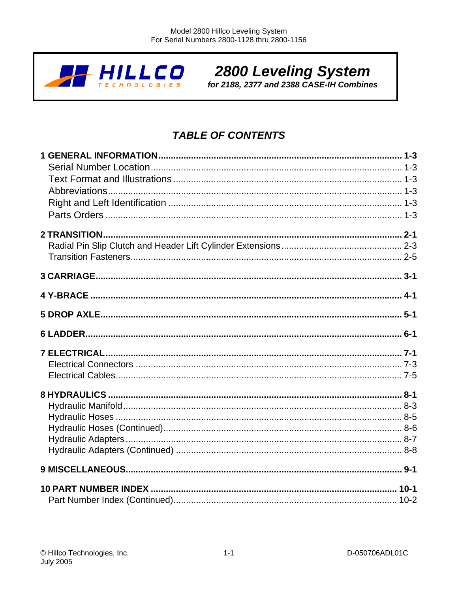

# 2800 Leveling System<br>for 2188, 2377 and 2388 CASE-IH Combines

## **TABLE OF CONTENTS**

| 10 PART NUMBER INDEX ……………………………………………………………………………………… 10-1 |  |
|-------------------------------------------------------------|--|
|                                                             |  |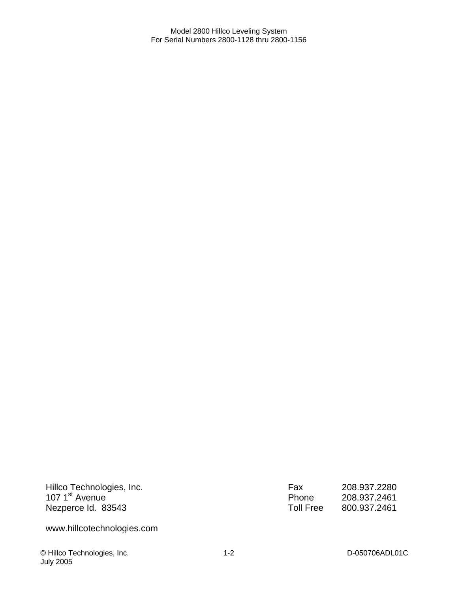Hillco Technologies, Inc. 107 1<sup>st</sup> Avenue Nezperce Id. 83543

Fax 208.937.2280<br>Phone 208.937.2461 Phone 208.937.2461<br>Toll Free 800.937.2461 Toll Free 800.937.2461

www.hillcotechnologies.com

© Hillco Technologies, Inc. D-050706ADL01C July 2005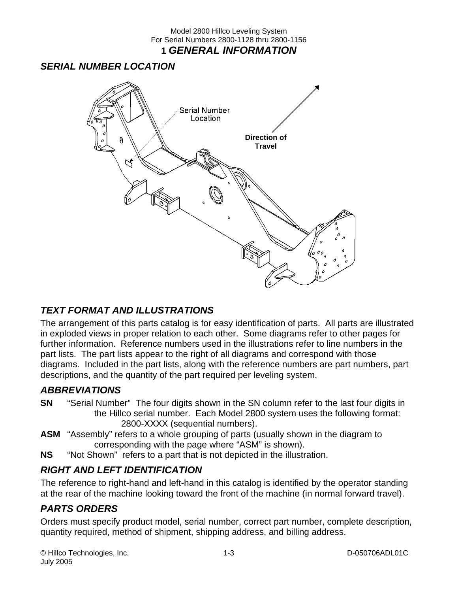## *SERIAL NUMBER LOCATION*



## *TEXT FORMAT AND ILLUSTRATIONS*

The arrangement of this parts catalog is for easy identification of parts. All parts are illustrated in exploded views in proper relation to each other. Some diagrams refer to other pages for further information. Reference numbers used in the illustrations refer to line numbers in the part lists. The part lists appear to the right of all diagrams and correspond with those diagrams. Included in the part lists, along with the reference numbers are part numbers, part descriptions, and the quantity of the part required per leveling system.

## *ABBREVIATIONS*

- **SN** "Serial Number" The four digits shown in the SN column refer to the last four digits in the Hillco serial number. Each Model 2800 system uses the following format: 2800-XXXX (sequential numbers).
- **ASM** "Assembly" refers to a whole grouping of parts (usually shown in the diagram to corresponding with the page where "ASM" is shown).
- **NS** "Not Shown" refers to a part that is not depicted in the illustration.

## *RIGHT AND LEFT IDENTIFICATION*

The reference to right-hand and left-hand in this catalog is identified by the operator standing at the rear of the machine looking toward the front of the machine (in normal forward travel).

## *PARTS ORDERS*

Orders must specify product model, serial number, correct part number, complete description, quantity required, method of shipment, shipping address, and billing address.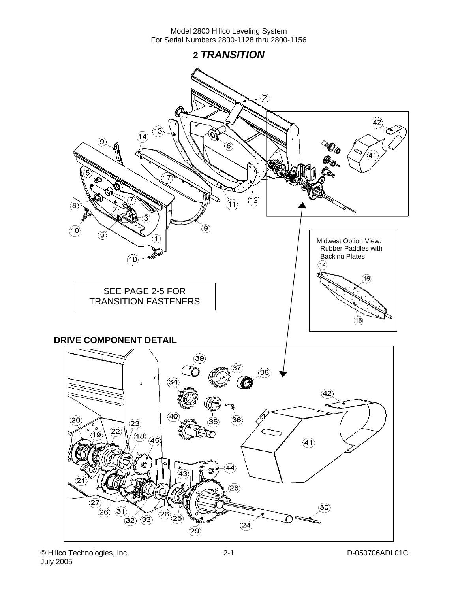**2** *TRANSITION* 

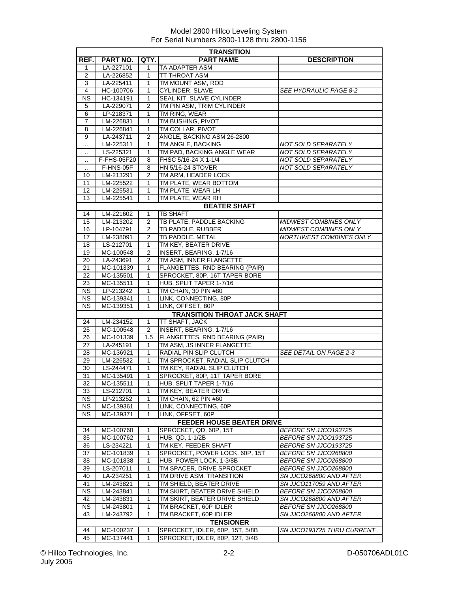|                      | <b>TRANSITION</b> |                |                                     |                                |  |  |
|----------------------|-------------------|----------------|-------------------------------------|--------------------------------|--|--|
| REF.                 | PART NO.          | QTY.           | <b>PART NAME</b>                    | <b>DESCRIPTION</b>             |  |  |
| 1                    | LA-227101         | 1              | TA ADAPTER ASM                      |                                |  |  |
| 2                    | LA-226852         | 1              | TT THROAT ASM                       |                                |  |  |
| 3                    | LA-225411         | $\mathbf{1}$   | TM MOUNT ASM, ROD                   |                                |  |  |
| 4                    | HC-100706         | 1              | <b>CYLINDER, SLAVE</b>              | <b>SEE HYDRAULIC PAGE 8-2</b>  |  |  |
| ΝS                   | HC-134191         | 1              | SEAL KIT, SLAVE CYLINDER            |                                |  |  |
| 5                    | LA-229071         | 2              | TM PIN ASM, TRIM CYLINDER           |                                |  |  |
| 6                    | LP-218371         | 1              | TM RING, WEAR                       |                                |  |  |
| 7                    | LM-226831         | 1              | TM BUSHING, PIVOT                   |                                |  |  |
| 8                    | LM-226841         | 1              | TM COLLAR, PIVOT                    |                                |  |  |
| 9                    | LA-243711         | 2              | ANGLE, BACKING ASM 26-2800          |                                |  |  |
| $\ddot{\phantom{a}}$ | LM-225311         | 1              | TM ANGLE, BACKING                   | NOT SOLD SEPARATELY            |  |  |
| $\cdot$ .            | LS-225321         | 1              | TM PAD, BACKING ANGLE WEAR          | NOT SOLD SEPARATELY            |  |  |
| $\ddot{\phantom{a}}$ | F-FHS-05F20       | 8              | FHSC 5/16-24 X 1-1/4                | NOT SOLD SEPARATELY            |  |  |
|                      | F-HNS-05F         | 8              | <b>HN 5/16-24 STOVER</b>            | <b>NOT SOLD SEPARATELY</b>     |  |  |
| 10                   | LM-213291         | 2              | TM ARM, HEADER LOCK                 |                                |  |  |
| 11                   | LM-225522         | 1              | TM PLATE, WEAR BOTTOM               |                                |  |  |
| 12                   | LM-225531         | 1              | TM PLATE, WEAR LH                   |                                |  |  |
| 13                   | LM-225541         | 1              | TM PLATE, WEAR RH                   |                                |  |  |
|                      |                   |                | <b>BEATER SHAFT</b>                 |                                |  |  |
| 14                   | LM-221602         | 1              | <b>TB SHAFT</b>                     |                                |  |  |
| 15                   | LM-213202         | 2              | TB PLATE, PADDLE BACKING            | <b>MIDWEST COMBINES ONLY</b>   |  |  |
| 16                   | LP-104791         | 2              | TB PADDLE, RUBBER                   | <b>MIDWEST COMBINES ONLY</b>   |  |  |
| 17                   | LM-238091         | 2              | TB PADDLE, METAL                    | <b>NORTHWEST COMBINES ONLY</b> |  |  |
| 18                   | LS-212701         | $\mathbf{1}$   | TM KEY, BEATER DRIVE                |                                |  |  |
| 19                   | MC-100548         | $\overline{2}$ | INSERT, BEARING, 1-7/16             |                                |  |  |
| 20                   | LA-243691         | 2              | TM ASM, INNER FLANGETTE             |                                |  |  |
| 21                   | MC-101339         | 1              | FLANGETTES, RND BEARING (PAIR)      |                                |  |  |
| 22                   | MC-135501         | 1              | SPROCKET, 80P, 16T TAPER BORE       |                                |  |  |
| 23                   | MC-135511         | 1              | HUB, SPLIT TAPER 1-7/16             |                                |  |  |
| NS.                  | LP-213242         | 1              | TM CHAIN, 30 PIN #80                |                                |  |  |
| NS.                  | MC-139341         | 1              | LINK, CONNECTING, 80P               |                                |  |  |
| <b>NS</b>            | MC-139351         | 1              | LINK, OFFSET, 80P                   |                                |  |  |
|                      |                   |                | <b>TRANSITION THROAT JACK SHAFT</b> |                                |  |  |
| 24                   | LM-234152         | 1              | TT SHAFT, JACK                      |                                |  |  |
| 25                   | MC-100548         | 2              | INSERT, BEARING, 1-7/16             |                                |  |  |
| 26                   | MC-101339         | 1.5            | FLANGETTES, RND BEARING (PAIR)      |                                |  |  |
| 27                   | LA-245191         | 1              | TM ASM, JS INNER FLANGETTE          |                                |  |  |
| 28                   | MC-136921         | $\mathbf{1}$   | RADIAL PIN SLIP CLUTCH              | SEE DETAIL ON PAGE 2-3         |  |  |
| 29                   | LM-226532         | 1              | TM SPROCKET, RADIAL SLIP CLUTCH     |                                |  |  |
| 30                   | LS-244471         | 1              | TM KEY, RADIAL SLIP CLUTCH          |                                |  |  |
| 31                   | MC-135491         | 1              | SPROCKET, 80P, 11T TAPER BORE       |                                |  |  |
| $\overline{32}$      | MC-135511         | 1              | HUB, SPLIT TAPER 1-7/16             |                                |  |  |
| 33                   | LS-212701         | 1              | TM KEY, BEATER DRIVE                |                                |  |  |
| NS.                  | LP-213252         | 1              | TM CHAIN, 62 PIN #60                |                                |  |  |
| NS.                  | MC-139361         | 1              | LINK, CONNECTING, 60P               |                                |  |  |
| <b>NS</b>            | MC-139371         | 1              | LINK, OFFSET, 60P                   |                                |  |  |
|                      |                   |                | FEEDER HOUSE BEATER DRIVE           |                                |  |  |
| 34                   | MC-100760         | 1              | SPROCKET, QD, 60P, 15T              | BEFORE SN JJCO193725           |  |  |
| 35                   | MC-100762         | 1              | HUB, QD, 1-1/2B                     | BEFORE SN JJCO193725           |  |  |
| 36                   | LS-234221         | 1              | TM KEY, FEEDER SHAFT                | BEFORE SN JJCO193725           |  |  |
| 37                   | MC-101839         | 1              | SPROCKET, POWER LOCK, 60P, 15T      | BEFORE SN JJCO268800           |  |  |
| 38                   | MC-101838         | 1              | HUB, POWER LOCK, 1-3/8B             | BEFORE SN JJC0268800           |  |  |
| 39                   | LS-207011         | 1              | TM SPACER, DRIVE SPROCKET           | BEFORE SN JJCO268800           |  |  |
| 40                   | LA-234251         | 1              | TM DRIVE ASM, TRANSITION            | SN JJCO268800 AND AFTER        |  |  |
| 41                   | LM-243821         | 1              | TM SHIELD, BEATER DRIVE             | SN JJCO117059 AND AFTER        |  |  |
| NS.                  | LM-243841         | 1              | TM SKIRT, BEATER DRIVE SHIELD       | BEFORE SN JJCO268800           |  |  |
| 42                   | LM-243831         | 1              | TM SKIRT, BEATER DRIVE SHIELD       | SN JJCO268800 AND AFTER        |  |  |
| <b>NS</b>            | LM-243801         | 1              | TM BRACKET, 60P IDLER               | BEFORE SN JJCO268800           |  |  |
| 43                   | LM-243792         | 1              | TM BRACKET, 60P IDLER               | SN JJCO268800 AND AFTER        |  |  |
|                      |                   |                | <b>TENSIONER</b>                    |                                |  |  |
| 44                   | MC-100237         | 1              | SPROCKET, IDLER, 60P, 15T, 5/8B     | SN JJCO193725 THRU CURRENT     |  |  |
| 45                   | MC-137441         | 1              | SPROCKET, IDLER, 80P, 12T, 3/4B     |                                |  |  |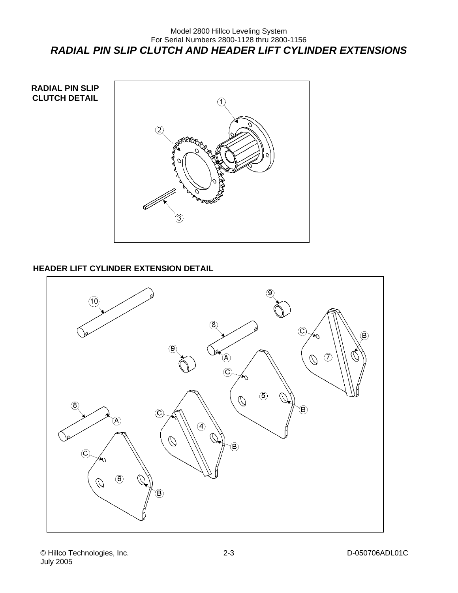## Model 2800 Hillco Leveling System For Serial Numbers 2800-1128 thru 2800-1156 *RADIAL PIN SLIP CLUTCH AND HEADER LIFT CYLINDER EXTENSIONS*



## **HEADER LIFT CYLINDER EXTENSION DETAIL**

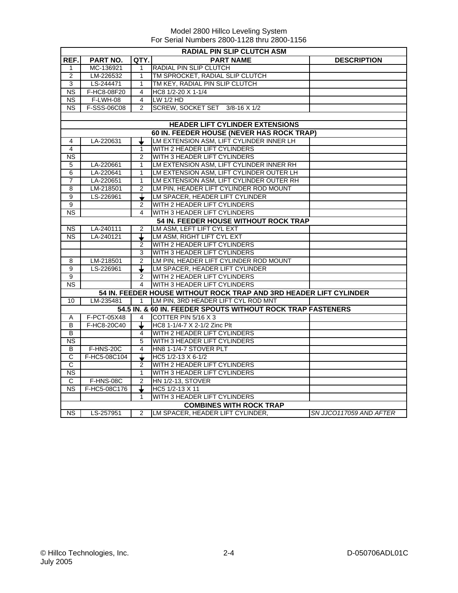|                        | <b>RADIAL PIN SLIP CLUTCH ASM</b> |                |                                                                    |                         |  |  |
|------------------------|-----------------------------------|----------------|--------------------------------------------------------------------|-------------------------|--|--|
| REF.                   | <b>PART NO.</b>                   | QTY.           | <b>PART NAME</b>                                                   | <b>DESCRIPTION</b>      |  |  |
| $\mathbf{1}$           | MC-136921                         | 1              | RADIAL PIN SLIP CLUTCH                                             |                         |  |  |
| 2                      | LM-226532                         | 1              | TM SPROCKET, RADIAL SLIP CLUTCH                                    |                         |  |  |
| 3                      | LS-244471                         | $\mathbf{1}$   | TM KEY, RADIAL PIN SLIP CLUTCH                                     |                         |  |  |
| <b>NS</b>              | F-HC8-08F20                       | 4              | HC8 1/2-20 X 1-1/4                                                 |                         |  |  |
| <b>NS</b>              | F-LWH-08                          | 4              | LW 1/2 HD                                                          |                         |  |  |
| N <sub>S</sub>         | F-SSS-06C08                       | $\mathfrak{p}$ | SCREW, SOCKET SET 3/8-16 X 1/2                                     |                         |  |  |
|                        |                                   |                |                                                                    |                         |  |  |
|                        |                                   |                | <b>HEADER LIFT CYLINDER EXTENSIONS</b>                             |                         |  |  |
|                        |                                   |                | 60 IN. FEEDER HOUSE (NEVER HAS ROCK TRAP)                          |                         |  |  |
| 4                      | LA-220631                         |                | LM EXTENSION ASM, LIFT CYLINDER INNER LH                           |                         |  |  |
| 4                      |                                   | $\mathbf{1}$   | WITH 2 HEADER LIFT CYLINDERS                                       |                         |  |  |
| $\overline{\text{NS}}$ |                                   | $\overline{2}$ | WITH 3 HEADER LIFT CYLINDERS                                       |                         |  |  |
| 5                      | LA-220661                         | 1              | LM EXTENSION ASM, LIFT CYLINDER INNER RH                           |                         |  |  |
| 6                      | LA-220641                         | $\mathbf{1}$   | LM EXTENSION ASM, LIFT CYLINDER OUTER LH                           |                         |  |  |
| 7                      | LA-220651                         | 1              | LM EXTENSION ASM, LIFT CYLINDER OUTER RH                           |                         |  |  |
| 8                      | LM-218501                         | $\overline{2}$ | LM PIN, HEADER LIFT CYLINDER ROD MOUNT                             |                         |  |  |
| 9                      | LS-226961                         |                | LM SPACER, HEADER LIFT CYLINDER                                    |                         |  |  |
| 9                      |                                   | 2              | WITH 2 HEADER LIFT CYLINDERS                                       |                         |  |  |
| $\overline{\text{NS}}$ |                                   | 4              | WITH 3 HEADER LIFT CYLINDERS                                       |                         |  |  |
|                        |                                   |                | 54 IN. FEEDER HOUSE WITHOUT ROCK TRAP                              |                         |  |  |
| <b>NS</b>              | $LA-240111$                       | $\overline{2}$ | LM ASM, LEFT LIFT CYL EXT                                          |                         |  |  |
| <b>NS</b>              | LA-240121                         | ↧              | LM ASM, RIGHT LIFT CYL EXT                                         |                         |  |  |
|                        |                                   | 2              | WITH 2 HEADER LIFT CYLINDERS                                       |                         |  |  |
|                        |                                   | 3              | WITH 3 HEADER LIFT CYLINDERS                                       |                         |  |  |
| 8                      | LM-218501                         | $\overline{2}$ | LM PIN, HEADER LIFT CYLINDER ROD MOUNT                             |                         |  |  |
| 9                      | LS-226961                         |                | LM SPACER, HEADER LIFT CYLINDER                                    |                         |  |  |
| 9                      |                                   | $\overline{2}$ | WITH 2 HEADER LIFT CYLINDERS                                       |                         |  |  |
| $\overline{\text{NS}}$ |                                   | 4              | WITH 3 HEADER LIFT CYLINDERS                                       |                         |  |  |
|                        |                                   |                | 54 IN. FEEDER HOUSE WITHOUT ROCK TRAP AND 3RD HEADER LIFT CYLINDER |                         |  |  |
| 10                     | LM-235481                         | $\mathbf{1}$   | LM PIN, 3RD HEADER LIFT CYL ROD MNT                                |                         |  |  |
|                        |                                   |                | 54.5 IN. & 60 IN. FEEDER SPOUTS WITHOUT ROCK TRAP FASTENERS        |                         |  |  |
| A                      | F-PCT-05X48                       | 4              | COTTER PIN 5/16 X 3                                                |                         |  |  |
| B                      | F-HC8-20C40                       |                | HC8 1-1/4-7 X 2-1/2 Zinc Plt                                       |                         |  |  |
| B                      |                                   | 4              | WITH 2 HEADER LIFT CYLINDERS                                       |                         |  |  |
| <b>NS</b>              |                                   | 5              | <b>WITH 3 HEADER LIFT CYLINDERS</b>                                |                         |  |  |
| B                      | <b>F-HNS-20C</b>                  | 4              | HN8 1-1/4-7 STOVER PLT                                             |                         |  |  |
| C                      | F-HC5-08C104                      |                | HC5 1/2-13 X 6-1/2                                                 |                         |  |  |
| $\overline{C}$         |                                   | $\overline{2}$ | WITH 2 HEADER LIFT CYLINDERS                                       |                         |  |  |
| <b>NS</b>              |                                   | 1              | WITH 3 HEADER LIFT CYLINDERS                                       |                         |  |  |
| C                      | F-HNS-08C                         | $\mathfrak{p}$ | <b>HN 1/2-13, STOVER</b>                                           |                         |  |  |
| <b>NS</b>              | F-HC5-08C176                      |                | HC5 1/2-13 X 11                                                    |                         |  |  |
|                        |                                   |                | WITH 3 HEADER LIFT CYLINDERS                                       |                         |  |  |
|                        |                                   |                | <b>COMBINES WITH ROCK TRAP</b>                                     |                         |  |  |
| NS I                   | LS-257951                         | 2              | LM SPACER, HEADER LIFT CYLINDER,                                   | SN JJCO117059 AND AFTER |  |  |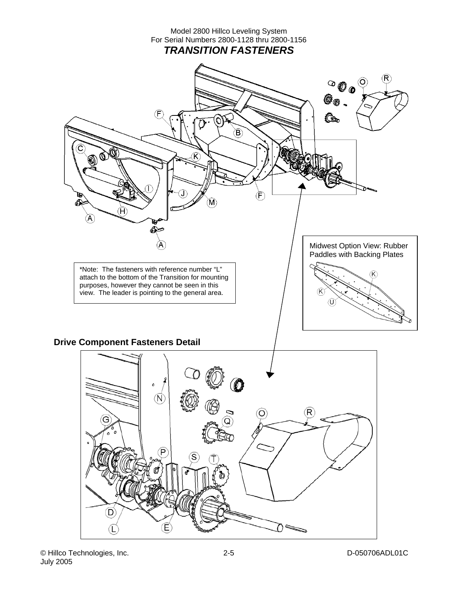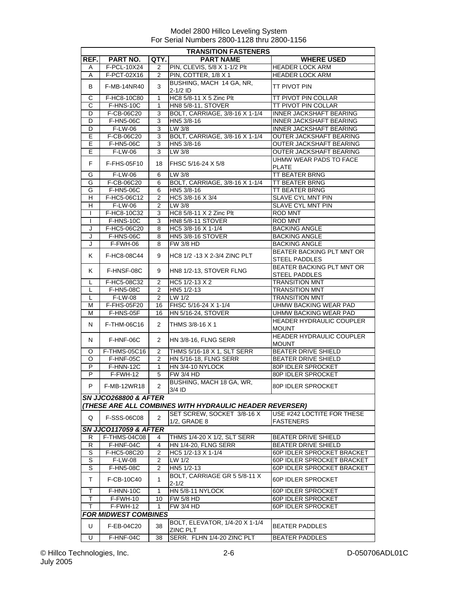|                | <b>TRANSITION FASTENERS</b>      |                |                                                         |                                                   |  |  |
|----------------|----------------------------------|----------------|---------------------------------------------------------|---------------------------------------------------|--|--|
| REF.           | PART NO.                         | QTY.           | <b>PART NAME</b>                                        | <b>WHERE USED</b>                                 |  |  |
| Α              | F-PCL-10X24                      | 2              | PIN, CLEVIS, 5/8 X 1-1/2 Plt                            | <b>HEADER LOCK ARM</b>                            |  |  |
| Α              | F-PCT-02X16                      | 2              | PIN, COTTER, 1/8 X 1                                    | <b>HEADER LOCK ARM</b>                            |  |  |
| B              | F-MB-14NR40                      | 3              | BUSHING, MACH 14 GA, NR,<br>$2-1/2$ ID                  | TT PIVOT PIN                                      |  |  |
| C              | F-HC8-10C80                      | $\mathbf{1}$   | HC8 5/8-11 X 5 Zinc Plt                                 | TT PIVOT PIN COLLAR                               |  |  |
| С              | F-HNS-10C                        | 1              | <b>HN8 5/8-11, STOVER</b>                               | TT PIVOT PIN COLLAR                               |  |  |
| D              | F-CB-06C20                       | 3              | BOLT, CARRIAGE, 3/8-16 X 1-1/4                          | <b>INNER JACKSHAFT BEARING</b>                    |  |  |
| D              | F-HN5-06C                        | 3              | HN5 3/8-16                                              | <b>INNER JACKSHAFT BEARING</b>                    |  |  |
| D              | <b>F-LW-06</b>                   | 3              | $LW$ 3/8                                                | <b>INNER JACKSHAFT BEARING</b>                    |  |  |
| Ē              | F-CB-06C20                       | 3              | BOLT, CARRIAGE, 3/8-16 X 1-1/4                          | <b>OUTER JACKSHAFT BEARING</b>                    |  |  |
| E              | F-HN5-06C                        | 3              | HN5 3/8-16                                              | OUTER JACKSHAFT BEARING                           |  |  |
| Έ              | F-LW-06                          | 3              | $LW$ 3/8                                                | <b>OUTER JACKSHAFT BEARING</b>                    |  |  |
| F.             | F-FHS-05F10                      | 18             | <b>IFHSC 5/16-24 X 5/8</b>                              | UHMW WEAR PADS TO FACE<br><b>PLATE</b>            |  |  |
| G              | F-LW-06                          | 6              | LW 3/8                                                  | <b>TT BEATER BRNG</b>                             |  |  |
| G              | F-CB-06C20                       | 6              | BOLT, CARRIAGE, 3/8-16 X 1-1/4                          | <b>TT BEATER BRNG</b>                             |  |  |
| G              | F-HN5-06C                        | 6              | HN5 3/8-16                                              | TT BEATER BRNG                                    |  |  |
| Η              | F-HC5-06C12                      | $\overline{2}$ | HC5 3/8-16 X 3/4                                        | <b>SLAVE CYL MNT PIN</b>                          |  |  |
| н              | F-LW-06                          | $\overline{2}$ | $LW$ 3/8                                                | <b>SLAVE CYL MNT PIN</b>                          |  |  |
| I              | F-HC8-10C32                      | 3              | HC8 5/8-11 X 2 Zinc Plt                                 | <b>ROD MNT</b>                                    |  |  |
| $\mathbf{I}$   | F-HNS-10C                        | $\overline{3}$ | <b>HN8 5/8-11 STOVER</b>                                | <b>ROD MNT</b>                                    |  |  |
| J              | F-HC5-06C20                      | 8              | HC5 3/8-16 X 1-1/4                                      | <b>BACKING ANGLE</b>                              |  |  |
| J              | F-HNS-06C                        | 8              | HN5 3/8-16 STOVER                                       | <b>BACKING ANGLE</b>                              |  |  |
| J              | F-FWH-06                         | 8              | <b>FW 3/8 HD</b>                                        | <b>BACKING ANGLE</b>                              |  |  |
| K.             | F-HC8-08C44                      | 9              | HC8 1/2 -13 X 2-3/4 ZINC PLT                            | BEATER BACKING PLT MNT OR<br><b>STEEL PADDLES</b> |  |  |
| K.             | F-HNSF-08C                       | 9              | HN8 1/2-13, STOVER FLNG                                 | BEATER BACKING PLT MNT OR<br><b>STEEL PADDLES</b> |  |  |
| L              | F-HC5-08C32                      | $\overline{2}$ | HC5 1/2-13 X 2                                          | <b>TRANSITION MNT</b>                             |  |  |
| L              | F-HN5-08C                        | 2              | HN5 1/2-13                                              | <b>TRANSITION MNT</b>                             |  |  |
| L              | <b>F-LW-08</b>                   | $\overline{2}$ | $LW$ 1/2                                                | <b>TRANSITION MNT</b>                             |  |  |
| м              | F-FHS-05F20                      | 16             | FHSC 5/16-24 X 1-1/4                                    | UHMW BACKING WEAR PAD                             |  |  |
| М              | F-HNS-05F                        | 16             | <b>HN 5/16-24, STOVER</b>                               | UHMW BACKING WEAR PAD                             |  |  |
| N              | F-THM-06C16                      | 2              | THMS 3/8-16 X 1                                         | HEADER HYDRAULIC COUPLER<br><b>MOUNT</b>          |  |  |
| N              | F-HNF-06C                        | $\overline{2}$ | HN 3/8-16, FLNG SERR                                    | <b>HEADER HYDRAULIC COUPLER</b><br><b>MOUNT</b>   |  |  |
| O              | <b>F-THMS-05C16</b>              | $\overline{2}$ | THMS 5/16-18 X 1, SLT SERR                              | <b>BEATER DRIVE SHIELD</b>                        |  |  |
| O              | F-HNF-05C                        | 2              | <b>HN 5/16-18, FLNG SERR</b>                            | <b>BEATER DRIVE SHIELD</b>                        |  |  |
| $\overline{P}$ | F-HNN-12C                        | 1              | HN 3/4-10 NYLOCK                                        | 80P IDLER SPROCKET                                |  |  |
| P              | F-FWH-12                         | 5              | <b>FW 3/4 HD</b>                                        | <b>80P IDLER SPROCKET</b>                         |  |  |
| P              | F-MB-12WR18                      | 2              | BUSHING, MACH 18 GA, WR,<br>3/4 ID                      | 80P IDLER SPROCKET                                |  |  |
|                | <b>SN JJCO268800 &amp; AFTER</b> |                |                                                         |                                                   |  |  |
|                |                                  |                | (THESE ARE ALL COMBINES WITH HYDRAULIC HEADER REVERSER) |                                                   |  |  |
| Q              | <b>F-SSS-06C08</b>               | $\overline{2}$ | SET SCREW, SOCKET 3/8-16 X<br>1/2. GRADE 8              | USE #242 LOCTITE FOR THESE<br><b>FASTENERS</b>    |  |  |
|                | <b>SN JJCO117059 &amp; AFTER</b> |                |                                                         |                                                   |  |  |
| R              | F-THMS-04C08                     | 4              | THMS 1/4-20 X 1/2, SLT SERR                             | <b>BEATER DRIVE SHIELD</b>                        |  |  |
| R              | F-HNF-04C                        | 4              | <b>HN 1/4-20, FLNG SERR</b>                             | <b>BEATER DRIVE SHIELD</b>                        |  |  |
| S              | F-HC5-08C20                      | $\overline{2}$ | HC5 1/2-13 X 1-1/4                                      | 60P IDLER SPROCKET BRACKET                        |  |  |
| S              | F-LW-08                          | 2              | LW 1/2                                                  | 60P IDLER SPROCKET BRACKET                        |  |  |
| S              | F-HN5-08C                        | 2              | HN5 1/2-13                                              | 60P IDLER SPROCKET BRACKET                        |  |  |
| Τ              | F-CB-10C40                       | 1              | BOLT, CARRIAGE GR 5 5/8-11 X<br>$2 - 1/2$               | 60P IDLER SPROCKET                                |  |  |
| т              | F-HNN-10C                        | 1              | HN 5/8-11 NYLOCK                                        | 60P IDLER SPROCKET                                |  |  |
| T              | F-FWH-10                         | 10             | <b>FW 5/8 HD</b>                                        | 60P IDLER SPROCKET                                |  |  |
| т              | F-FWH-12                         | 1              | FW3/4 HD                                                | 60P IDLER SPROCKET                                |  |  |
|                | <b>FOR MIDWEST COMBINES</b>      |                |                                                         |                                                   |  |  |
|                |                                  |                | BOLT, ELEVATOR, 1/4-20 X 1-1/4                          |                                                   |  |  |
| U<br>U         | F-EB-04C20<br>F-HNF-04C          | 38<br>38       | ZINC PLT<br>SERR. FLHN 1/4-20 ZINC PLT                  | <b>BEATER PADDLES</b><br><b>BEATER PADDLES</b>    |  |  |
|                |                                  |                |                                                         |                                                   |  |  |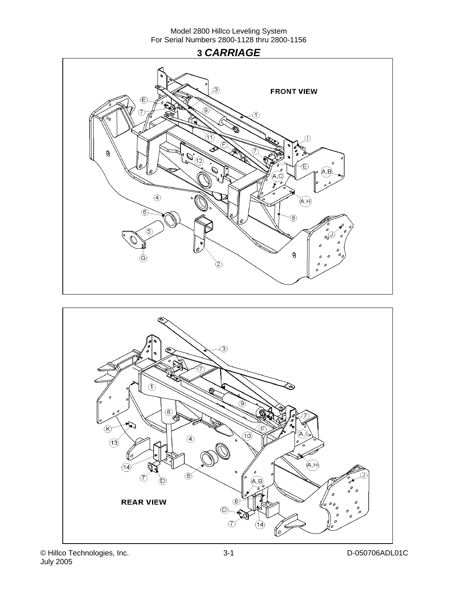## **3** *CARRIAGE*





© Hillco Technologies, Inc. D-050706ADL01C July 2005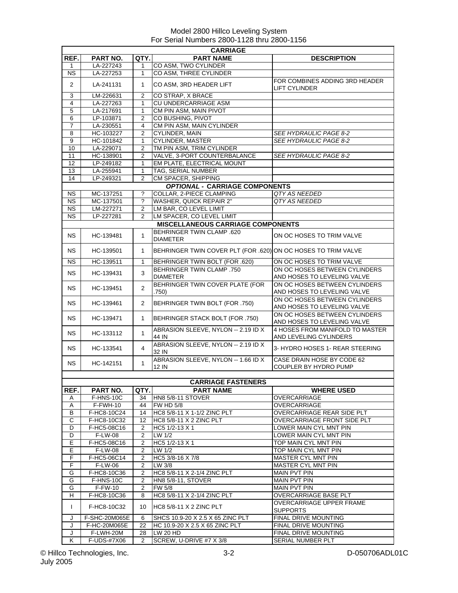|                        | <b>CARRIAGE</b> |                |                                                               |                                                              |  |  |
|------------------------|-----------------|----------------|---------------------------------------------------------------|--------------------------------------------------------------|--|--|
| REF.                   | PART NO.        | QTY.           | <b>PART NAME</b>                                              | <b>DESCRIPTION</b>                                           |  |  |
| 1                      | LA-227243       | 1              | CO ASM, TWO CYLINDER                                          |                                                              |  |  |
| N <sub>S</sub>         | LA-227253       | $\mathbf{1}$   | CO ASM, THREE CYLINDER                                        |                                                              |  |  |
| $\overline{2}$         | LA-241131       | 1              | CO ASM, 3RD HEADER LIFT                                       | FOR COMBINES ADDING 3RD HEADER<br><b>LIFT CYLINDER</b>       |  |  |
| 3                      | LM-226631       | 2              | CO STRAP, X BRACE                                             |                                                              |  |  |
| $\overline{4}$         | LA-227263       | 1              | <b>CU UNDERCARRIAGE ASM</b>                                   |                                                              |  |  |
| 5                      | LA-217691       | 1              | CM PIN ASM, MAIN PIVOT                                        |                                                              |  |  |
| $6\overline{6}$        | LP-103871       | $\overline{2}$ | CO BUSHING, PIVOT                                             |                                                              |  |  |
| $\overline{7}$         | LA-230551       | 4              | CM PIN ASM, MAIN CYLINDER                                     |                                                              |  |  |
| $\overline{8}$         | HC-103227       | $\overline{2}$ | <b>CYLINDER, MAIN</b>                                         | SEE HYDRAULIC PAGE 8-2                                       |  |  |
| $\overline{9}$         | HC-101842       | $\mathbf{1}$   | <b>CYLINDER, MASTER</b>                                       | <b>SEE HYDRAULIC PAGE 8-2</b>                                |  |  |
| 10                     | LA-229071       | $\overline{2}$ | TM PIN ASM, TRIM CYLINDER                                     |                                                              |  |  |
| 11                     | HC-138901       | $\overline{2}$ | VALVE, 3-PORT COUNTERBALANCE                                  | <b>SEE HYDRAULIC PAGE 8-2</b>                                |  |  |
| 12                     | LP-249182       | 1              | EM PLATE, ELECTRICAL MOUNT                                    |                                                              |  |  |
| 13                     | LA-255941       | 1              | TAG, SERIAL NUMBER                                            |                                                              |  |  |
| 14                     | LP-249321       | $\overline{2}$ | CM SPACER, SHIPPING                                           |                                                              |  |  |
|                        |                 |                | <b>OPTIONAL - CARRIAGE COMPONENTS</b>                         |                                                              |  |  |
| <b>NS</b>              | MC-137251       | ?              | COLLAR, 2-PIECE CLAMPING                                      | QTY AS NEEDED                                                |  |  |
| $\overline{\text{NS}}$ | MC-137501       | ?              | WASHER, QUICK REPAIR 2"                                       | QTY AS NEEDED                                                |  |  |
| <b>NS</b>              | LM-227271       | 2              | LM BAR, CO LEVEL LIMIT                                        |                                                              |  |  |
| ΝS                     | LP-227281       | 2              | LM SPACER, CO LEVEL LIMIT                                     |                                                              |  |  |
|                        |                 |                | <b>MISCELLANEOUS CARRIAGE COMPONENTS</b>                      |                                                              |  |  |
| <b>NS</b>              | HC-139481       | $\mathbf{1}$   | <b>BEHRINGER TWIN CLAMP .620</b><br><b>DIAMETER</b>           | ON OC HOSES TO TRIM VALVE                                    |  |  |
| ΝS                     | HC-139501       | 1              | BEHRINGER TWIN COVER PLT (FOR .620) ON OC HOSES TO TRIM VALVE |                                                              |  |  |
| <b>NS</b>              | HC-139511       | 1              | BEHRINGER TWIN BOLT (FOR .620)                                | ON OC HOSES TO TRIM VALVE                                    |  |  |
| <b>NS</b>              | HC-139431       | 3              | <b>BEHRINGER TWIN CLAMP .750</b><br><b>DIAMETER</b>           | ON OC HOSES BETWEEN CYLINDERS<br>AND HOSES TO LEVELING VALVE |  |  |
| <b>NS</b>              | HC-139451       | $\overline{2}$ | BEHRINGER TWIN COVER PLATE (FOR<br>.750)                      | ON OC HOSES BETWEEN CYLINDERS<br>AND HOSES TO LEVELING VALVE |  |  |
| NS.                    | HC-139461       | $\overline{2}$ | BEHRINGER TWIN BOLT (FOR .750)                                | ON OC HOSES BETWEEN CYLINDERS<br>AND HOSES TO LEVELING VALVE |  |  |
| NS.                    | HC-139471       | 1              | BEHRINGER STACK BOLT (FOR .750)                               | ON OC HOSES BETWEEN CYLINDERS<br>AND HOSES TO LEVELING VALVE |  |  |
| NS.                    | HC-133112       | $\mathbf{1}$   | ABRASION SLEEVE, NYLON -- 2.19 ID X<br>44 IN                  | 4 HOSES FROM MANIFOLD TO MASTER<br>AND LEVELING CYLINDERS    |  |  |
| NS.                    | HC-133541       | 4              | ABRASION SLEEVE, NYLON -- 2.19 ID X<br>32 IN                  | 3- HYDRO HOSES 1- REAR STEERING                              |  |  |
| <b>NS</b>              | HC-142151       | 1              | ABRASION SLEEVE, NYLON -- 1.66 ID X<br>12 IN                  | CASE DRAIN HOSE BY CODE 62<br>COUPLER BY HYDRO PUMP          |  |  |
|                        |                 |                |                                                               |                                                              |  |  |
|                        |                 |                | <b>CARRIAGE FASTENERS</b>                                     |                                                              |  |  |
| REF.                   | PART NO.        | QTY.           | <b>PART NAME</b>                                              | <b>WHERE USED</b>                                            |  |  |
| A                      | F-HNS-10C       | 34             | <b>HN8 5/8-11 STOVER</b>                                      | <b>OVERCARRIAGE</b>                                          |  |  |
| A                      | F-FWH-10        | 44             | <b>FW HD 5/8</b>                                              | <b>OVERCARRIAGE</b>                                          |  |  |
| В                      | F-HC8-10C24     | 14             | HC8 5/8-11 X 1-1/2 ZINC PLT                                   | OVERCARRIAGE REAR SIDE PLT                                   |  |  |
| C                      | F-HC8-10C32     | 12             | <b>HC8 5/8-11 X 2 ZINC PLT</b>                                | <b>OVERCARRIAGE FRONT SIDE PLT</b>                           |  |  |
| D                      | F-HC5-08C16     | $\overline{2}$ | HC5 1/2-13 X 1                                                | LOWER MAIN CYL MNT PIN                                       |  |  |
| D                      | F-LW-08         | $\overline{2}$ | LW 1/2                                                        | LOWER MAIN CYL MNT PIN                                       |  |  |
| Е                      | F-HC5-08C16     | 2              | HC5 $1/2-13 \times 1$                                         | TOP MAIN CYL MNT PIN                                         |  |  |
| Ε                      | <b>F-LW-08</b>  | $\overline{2}$ | LW 1/2                                                        | TOP MAIN CYL MNT PIN                                         |  |  |
| F                      | F-HC5-06C14     | $\overline{2}$ | HC5 3/8-16 X 7/8                                              | <b>MASTER CYL MNT PIN</b>                                    |  |  |
| F                      | <b>F-LW-06</b>  | 2              | LW 3/8                                                        | MASTER CYL MNT PIN                                           |  |  |
| G                      | F-HC8-10C36     | $\overline{2}$ | HC8 5/8-11 X 2-1/4 ZINC PLT                                   | <b>MAIN PVT PIN</b>                                          |  |  |
| G                      | F-HNS-10C       | $\overline{2}$ | <b>HN8 5/8-11, STOVER</b>                                     | <b>MAIN PVT PIN</b>                                          |  |  |
| G                      | <b>F-FW-10</b>  | 2              | FW 5/8                                                        | <b>MAIN PVT PIN</b>                                          |  |  |
| H                      | F-HC8-10C36     | 8              | HC8 5/8-11 X 2-1/4 ZINC PLT                                   | OVERCARRIAGE BASE PLT                                        |  |  |
| $\mathbf{I}$           | F-HC8-10C32     | 10             | HC8 5/8-11 X 2 ZINC PLT                                       | OVERCARRIAGE UPPER FRAME<br><b>SUPPORTS</b>                  |  |  |
| J                      | F-SHC-20M065E   | 6              | SHCS 10.9-20 X 2.5 X 65 ZINC PLT                              | FINAL DRIVE MOUNTING                                         |  |  |
| J                      | F-HC-20M065E    | 22             | HC 10.9-20 X 2.5 X 65 ZINC PLT                                | FINAL DRIVE MOUNTING                                         |  |  |
| J                      | F-LWH-20M       | 28             | LW 20 HD                                                      | FINAL DRIVE MOUNTING                                         |  |  |
| Κ                      | F-UDS-#7X06     | 2              | SCREW, U-DRIVE #7 X 3/8                                       | SERIAL NUMBER PLT                                            |  |  |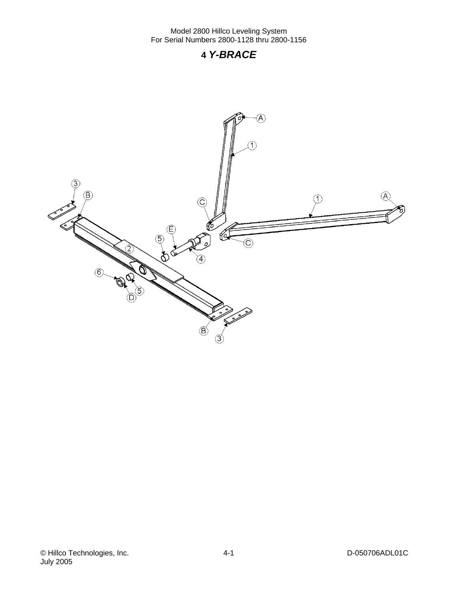## **4** *Y-BRACE*

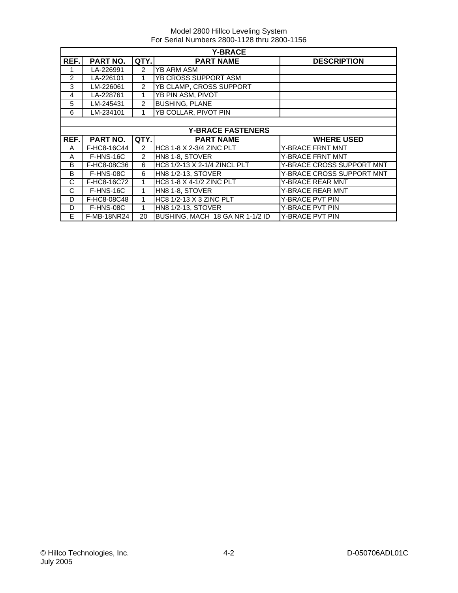|                | <b>Y-BRACE</b>  |                |                              |                           |  |  |
|----------------|-----------------|----------------|------------------------------|---------------------------|--|--|
| REF.           | <b>PART NO.</b> | QTY.           | <b>PART NAME</b>             | <b>DESCRIPTION</b>        |  |  |
|                | LA-226991       | 2              | <b>YB ARM ASM</b>            |                           |  |  |
| $\mathfrak{p}$ | LA-226101       | 1              | YB CROSS SUPPORT ASM         |                           |  |  |
| 3              | LM-226061       | 2              | YB CLAMP, CROSS SUPPORT      |                           |  |  |
| 4              | LA-228761       | 1              | YB PIN ASM, PIVOT            |                           |  |  |
| 5              | LM-245431       | $\overline{2}$ | <b>BUSHING, PLANE</b>        |                           |  |  |
| 6              | LM-234101       | 1              | <b>YB COLLAR, PIVOT PIN</b>  |                           |  |  |
|                |                 |                |                              |                           |  |  |
|                |                 |                | <b>Y-BRACE FASTENERS</b>     |                           |  |  |
| REF.           | <b>PART NO.</b> | QTY.           | <b>PART NAME</b>             | <b>WHERE USED</b>         |  |  |
| A              |                 |                |                              |                           |  |  |
|                | F-HC8-16C44     | 2              | HC8 1-8 X 2-3/4 ZINC PLT     | <b>Y-BRACE FRNT MNT</b>   |  |  |
| A              | F-HNS-16C       | 2              | HN8 1-8, STOVER              | Y-BRACE FRNT MNT          |  |  |
| B              | F-HC8-08C36     | 6              | HC8 1/2-13 X 2-1/4 ZINCL PLT | Y-BRACE CROSS SUPPORT MNT |  |  |
| B              | F-HNS-08C       | 6              | HN8 1/2-13, STOVER           | Y-BRACE CROSS SUPPORT MNT |  |  |
| C              | F-HC8-16C72     | 1              | HC8 1-8 X 4-1/2 ZINC PLT     | <b>Y-BRACE REAR MNT</b>   |  |  |
| C              | F-HNS-16C       | 1              | HN8 1-8, STOVER              | <b>Y-BRACE REAR MNT</b>   |  |  |
| D              | F-HC8-08C48     | 1              | HC8 1/2-13 X 3 ZINC PLT      | <b>Y-BRACE PVT PIN</b>    |  |  |
| D              | F-HNS-08C       | 1              | HN8 1/2-13, STOVER           | Y-BRACE PVT PIN           |  |  |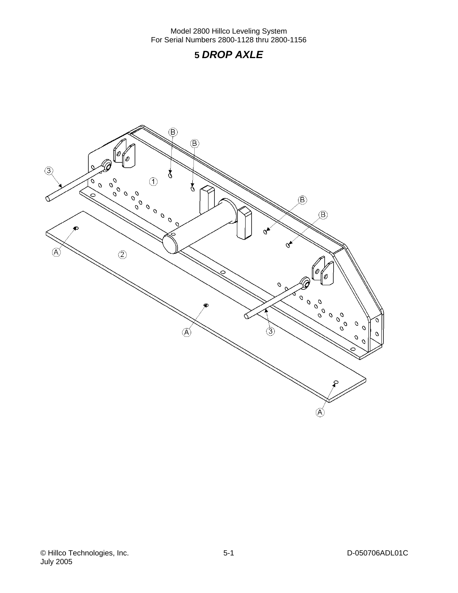## **5** *DROP AXLE*

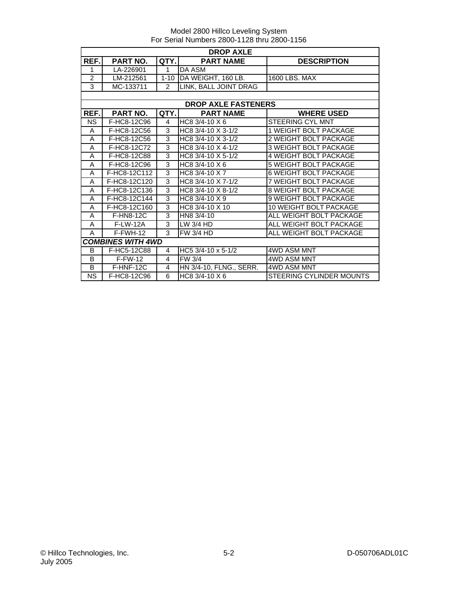|                | <b>DROP AXLE</b>         |                |                              |                                 |  |  |
|----------------|--------------------------|----------------|------------------------------|---------------------------------|--|--|
| REF.           | PART NO.                 | QTY.           | <b>PART NAME</b>             | <b>DESCRIPTION</b>              |  |  |
| 1              | LA-226901                | $\mathbf 1$    | DA ASM                       |                                 |  |  |
| $\overline{2}$ | LM-212561                | $1 - 10$       | DA WEIGHT, 160 LB.           | 1600 LBS, MAX                   |  |  |
| 3              | MC-133711                | $\overline{2}$ | LINK, BALL JOINT DRAG        |                                 |  |  |
|                |                          |                |                              |                                 |  |  |
|                |                          |                | <b>DROP AXLE FASTENERS</b>   |                                 |  |  |
| REF.           | <b>PART NO.</b>          | QTY.           | <b>PART NAME</b>             | <b>WHERE USED</b>               |  |  |
| NS             | F-HC8-12C96              | 4              | $\overline{H}$ C8 3/4-10 X 6 | <b>STEERING CYL MNT</b>         |  |  |
| A              | F-HC8-12C56              | 3              | HC8 3/4-10 X 3-1/2           | <b>1 WEIGHT BOLT PACKAGE</b>    |  |  |
| A              | F-HC8-12C56              | 3              | HC8 3/4-10 X 3-1/2           | 2 WEIGHT BOLT PACKAGE           |  |  |
| A              | F-HC8-12C72              | 3              | HC8 3/4-10 X 4-1/2           | <b>3 WEIGHT BOLT PACKAGE</b>    |  |  |
| A              | F-HC8-12C88              | 3              | HC8 3/4-10 X 5-1/2           | <b>4 WEIGHT BOLT PACKAGE</b>    |  |  |
| A              | F-HC8-12C96              | 3              | HC8 3/4-10 X 6               | <b>5 WEIGHT BOLT PACKAGE</b>    |  |  |
| A              | F-HC8-12C112             | 3              | HC8 $3/4 - 10 \times 7$      | <b>6 WEIGHT BOLT PACKAGE</b>    |  |  |
| A              | F-HC8-12C120             | 3              | HC8 3/4-10 X 7-1/2           | 7 WEIGHT BOLT PACKAGE           |  |  |
| A              | F-HC8-12C136             | 3              | HC8 3/4-10 X 8-1/2           | <b>8 WEIGHT BOLT PACKAGE</b>    |  |  |
| A              | F-HC8-12C144             | 3              | HC8 3/4-10 X 9               | <b>9 WEIGHT BOLT PACKAGE</b>    |  |  |
| A              | F-HC8-12C160             | 3              | HC8 3/4-10 X 10              | 10 WEIGHT BOLT PACKAGE          |  |  |
| A              | <b>F-HN8-12C</b>         | 3              | HN8 3/4-10                   | ALL WEIGHT BOLT PACKAGE         |  |  |
| A              | <b>F-LW-12A</b>          | 3              | LW 3/4 HD                    | ALL WEIGHT BOLT PACKAGE         |  |  |
| A              | F-FWH-12                 | 3              | <b>FW 3/4 HD</b>             | ALL WEIGHT BOLT PACKAGE         |  |  |
|                | <b>COMBINES WITH 4WD</b> |                |                              |                                 |  |  |
| B              | F-HC5-12C88              | 4              | HC5 3/4-10 x 5-1/2           | 4WD ASM MNT                     |  |  |
| B              | $F-FW-12$                | 4              | FW 3/4                       | 4WD ASM MNT                     |  |  |
| B              | F-HNF-12C                | $\overline{4}$ | HN 3/4-10, FLNG., SERR.      | <b>4WD ASM MNT</b>              |  |  |
| <b>NS</b>      | F-HC8-12C96              | 6              | HC8 3/4-10 X 6               | <b>STEERING CYLINDER MOUNTS</b> |  |  |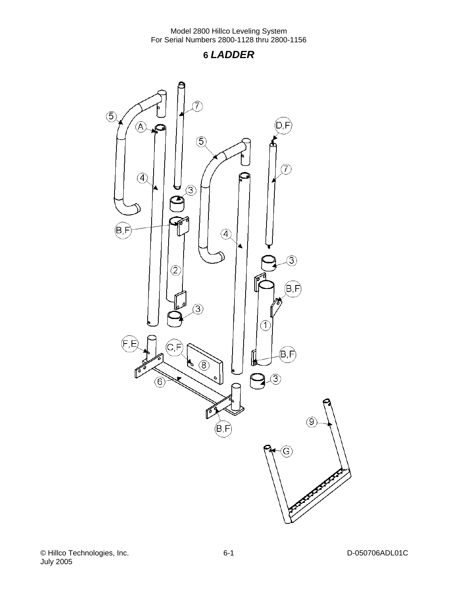## **6** *LADDER*

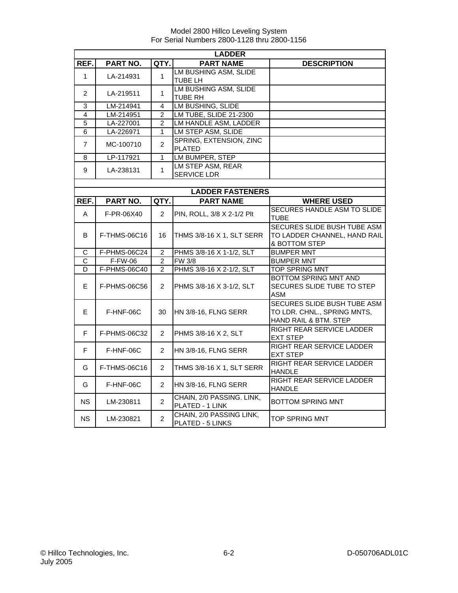|                       | <b>LADDER</b> |                |                                              |                                                                                     |  |  |
|-----------------------|---------------|----------------|----------------------------------------------|-------------------------------------------------------------------------------------|--|--|
| REF.                  | PART NO.      | QTY.           | <b>PART NAME</b>                             | <b>DESCRIPTION</b>                                                                  |  |  |
| $\mathbf{1}$          | LA-214931     | 1              | LM BUSHING ASM, SLIDE<br>TUBE LH             |                                                                                     |  |  |
| $\overline{2}$        | LA-219511     | 1              | LM BUSHING ASM, SLIDE<br><b>TUBE RH</b>      |                                                                                     |  |  |
| 3                     | LM-214941     | 4              | <b>LM BUSHING, SLIDE</b>                     |                                                                                     |  |  |
| 4                     | LM-214951     | $\overline{2}$ | LM TUBE, SLIDE 21-2300                       |                                                                                     |  |  |
| $\overline{5}$        | LA-227001     | $\overline{2}$ | LM HANDLE ASM, LADDER                        |                                                                                     |  |  |
| 6                     | LA-226971     | 1              | LM STEP ASM, SLIDE                           |                                                                                     |  |  |
| $\overline{7}$        | MC-100710     | $\overline{2}$ | SPRING, EXTENSION, ZINC<br><b>PLATED</b>     |                                                                                     |  |  |
| 8                     | LP-117921     | $\overline{1}$ | LM BUMPER, STEP                              |                                                                                     |  |  |
| 9                     | LA-238131     | $\mathbf{1}$   | LM STEP ASM, REAR<br>SERVICE LDR             |                                                                                     |  |  |
|                       |               |                |                                              |                                                                                     |  |  |
|                       |               |                | <b>LADDER FASTENERS</b>                      |                                                                                     |  |  |
| REF.                  | PART NO.      | QTY.           | <b>PART NAME</b>                             | <b>WHERE USED</b>                                                                   |  |  |
| A                     | F-PR-06X40    | $\overline{2}$ | PIN, ROLL, 3/8 X 2-1/2 Plt                   | SECURES HANDLE ASM TO SLIDE<br><b>TUBE</b>                                          |  |  |
| В                     | F-THMS-06C16  | 16             | <b>THMS 3/8-16 X 1, SLT SERR</b>             | SECURES SLIDE BUSH TUBE ASM<br>TO LADDER CHANNEL, HAND RAIL<br>& BOTTOM STEP        |  |  |
| C                     | F-PHMS-06C24  | 2              | PHMS 3/8-16 X 1-1/2, SLT                     | <b>BUMPER MNT</b>                                                                   |  |  |
| $\overline{\text{c}}$ | F-FW-06       | $\overline{2}$ | FW 3/8                                       | <b>BUMPER MNT</b>                                                                   |  |  |
| D                     | F-PHMS-06C40  | $\overline{2}$ | PHMS 3/8-16 X 2-1/2, SLT                     | <b>TOP SPRING MNT</b>                                                               |  |  |
| E.                    | F-PHMS-06C56  | $\overline{2}$ | PHMS 3/8-16 X 3-1/2, SLT                     | BOTTOM SPRING MNT AND<br>SECURES SLIDE TUBE TO STEP<br><b>ASM</b>                   |  |  |
| E.                    | F-HNF-06C     | 30             | <b>HN 3/8-16, FLNG SERR</b>                  | SECURES SLIDE BUSH TUBE ASM<br>TO LDR. CHNL., SPRING MNTS,<br>HAND RAIL & BTM. STEP |  |  |
| F                     | F-PHMS-06C32  | $\overline{2}$ | PHMS 3/8-16 X 2, SLT                         | RIGHT REAR SERVICE LADDER<br><b>EXT STEP</b>                                        |  |  |
| F                     | F-HNF-06C     | $\overline{2}$ | HN 3/8-16, FLNG SERR                         | <b>RIGHT REAR SERVICE LADDER</b><br><b>EXT STEP</b>                                 |  |  |
| G                     | F-THMS-06C16  | $\overline{2}$ | THMS 3/8-16 X 1, SLT SERR                    | RIGHT REAR SERVICE LADDER<br><b>HANDLE</b>                                          |  |  |
| G                     | F-HNF-06C     | $\overline{2}$ | HN 3/8-16, FLNG SERR                         | RIGHT REAR SERVICE LADDER<br><b>HANDLE</b>                                          |  |  |
| NS.                   | LM-230811     | $\overline{2}$ | CHAIN, 2/0 PASSING. LINK,<br>PLATED - 1 LINK | <b>BOTTOM SPRING MNT</b>                                                            |  |  |
| <b>NS</b>             | LM-230821     | $\overline{2}$ | CHAIN, 2/0 PASSING LINK,<br>PLATED - 5 LINKS | <b>TOP SPRING MNT</b>                                                               |  |  |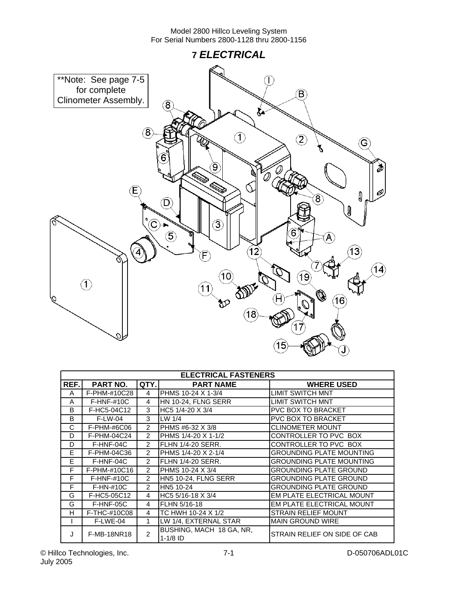

|         | <b>ELECTRICAL FASTENERS</b> |                |                                        |                                 |  |  |
|---------|-----------------------------|----------------|----------------------------------------|---------------------------------|--|--|
| REF.    | PART NO.                    | QTY.           | <b>PART NAME</b>                       | <b>WHERE USED</b>               |  |  |
| A       | F-PHM-#10C28                | 4              | PHMS 10-24 X 1-3/4                     | LIMIT SWITCH MNT                |  |  |
| A       | $F-HNF-#10C$                | 4              | HN 10-24, FLNG SERR                    | LIMIT SWITCH MNT                |  |  |
| B       | F-HC5-04C12                 | 3              | HC5 1/4-20 X 3/4                       | <b>PVC BOX TO BRACKET</b>       |  |  |
| B       | $F-LW-04$                   | 3              | LW $1/4$                               | <b>PVC BOX TO BRACKET</b>       |  |  |
| C       | F-PHM-#6C06                 | $\mathcal{P}$  | PHMS #6-32 X 3/8                       | <b>CLINOMETER MOUNT</b>         |  |  |
| D       | F-PHM-04C24                 | $\overline{2}$ | PHMS 1/4-20 X 1-1/2                    | CONTROLLER TO PVC BOX           |  |  |
| D       | F-HNF-04C                   | $\overline{2}$ | FLHN 1/4-20 SERR.                      | CONTROLLER TO PVC BOX           |  |  |
| Е       | F-PHM-04C36                 | $\mathcal{P}$  | PHMS 1/4-20 X 2-1/4                    | <b>GROUNDING PLATE MOUNTING</b> |  |  |
| E       | F-HNF-04C                   | $\overline{2}$ | FLHN 1/4-20 SERR.                      | <b>GROUNDING PLATE MOUNTING</b> |  |  |
| F       | F-PHM-#10C16                | $\overline{2}$ | PHMS 10-24 X 3/4                       | <b>GROUNDING PLATE GROUND</b>   |  |  |
| F       | $F-HNF-#10C$                | $\mathcal{P}$  | HN5 10-24, FLNG SERR                   | <b>GROUNDING PLATE GROUND</b>   |  |  |
| F       | $F-HN-#10C$                 | $\mathcal{P}$  | HN5 10-24                              | <b>GROUNDING PLATE GROUND</b>   |  |  |
| G       | F-HC5-05C12                 | 4              | HC5 5/16-18 X 3/4                      | EM PLATE ELECTRICAL MOUNT       |  |  |
| G       | F-HNF-05C                   | 4              | FLHN 5/16-18                           | EM PLATE ELECTRICAL MOUNT       |  |  |
| н       | F-THC-#10C08                | 4              | TC HWH 10-24 X 1/2                     | <b>STRAIN RELIEF MOUNT</b>      |  |  |
|         | F-LWE-04                    | $\mathbf{1}$   | LW 1/4, EXTERNAL STAR                  | <b>MAIN GROUND WIRE</b>         |  |  |
| $\cdot$ | <b>F-MB-18NR18</b>          | $\mathcal{P}$  | BUSHING, MACH 18 GA, NR,<br>$1-1/8$ ID | STRAIN RELIEF ON SIDE OF CAB    |  |  |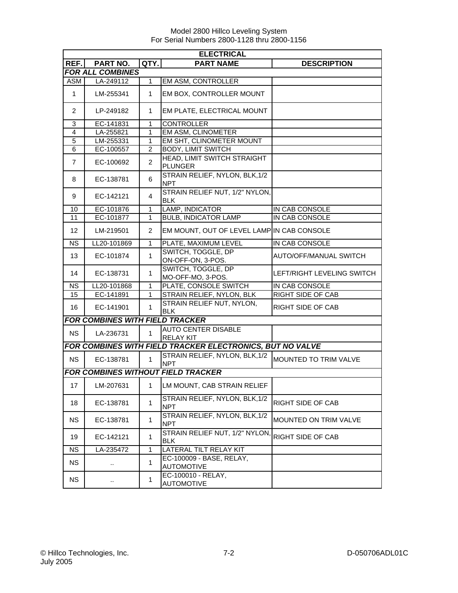|                 | <b>ELECTRICAL</b>                      |                |                                                           |                            |  |  |
|-----------------|----------------------------------------|----------------|-----------------------------------------------------------|----------------------------|--|--|
| REF.            | PART NO.                               | QTY.           | <b>PART NAME</b>                                          | <b>DESCRIPTION</b>         |  |  |
|                 | <b>FOR ALL COMBINES</b>                |                |                                                           |                            |  |  |
| <b>ASM</b>      | LA-249112                              | 1              | EM ASM, CONTROLLER                                        |                            |  |  |
| 1               | LM-255341                              | 1              | EM BOX, CONTROLLER MOUNT                                  |                            |  |  |
| 2               | LP-249182                              | 1              | EM PLATE, ELECTRICAL MOUNT                                |                            |  |  |
| 3               | EC-141831                              | $\mathbf{1}$   | <b>CONTROLLER</b>                                         |                            |  |  |
| $\overline{4}$  | LA-255821                              | 1              | <b>EM ASM, CLINOMETER</b>                                 |                            |  |  |
| 5               | LM-255331                              | $\mathbf{1}$   | EM SHT, CLINOMETER MOUNT                                  |                            |  |  |
| 6               | EC-100557                              | $\overline{2}$ | <b>BODY, LIMIT SWITCH</b>                                 |                            |  |  |
| $\overline{7}$  | EC-100692                              | $\overline{c}$ | HEAD, LIMIT SWITCH STRAIGHT<br><b>PLUNGER</b>             |                            |  |  |
| 8               | EC-138781                              | 6              | STRAIN RELIEF, NYLON, BLK, 1/2<br><b>NPT</b>              |                            |  |  |
| 9               | EC-142121                              | 4              | STRAIN RELIEF NUT, 1/2" NYLON,<br><b>BLK</b>              |                            |  |  |
| 10              | EC-101876                              | 1              | LAMP, INDICATOR                                           | IN CAB CONSOLE             |  |  |
| 11              | EC-101877                              | $\mathbf{1}$   | <b>BULB, INDICATOR LAMP</b>                               | IN CAB CONSOLE             |  |  |
| 12              | LM-219501                              | 2              | EM MOUNT, OUT OF LEVEL LAMPIN CAB CONSOLE                 |                            |  |  |
| <b>NS</b>       | LL20-101869                            | 1              | PLATE, MAXIMUM LEVEL                                      | IN CAB CONSOLE             |  |  |
| 13              | EC-101874                              | 1              | SWITCH, TOGGLE, DP<br>ON-OFF-ON, 3-POS.                   | AUTO/OFF/MANUAL SWITCH     |  |  |
| 14              | EC-138731                              | $\mathbf{1}$   | SWITCH, TOGGLE, DP<br>MO-OFF-MO, 3-POS.                   | LEFT/RIGHT LEVELING SWITCH |  |  |
| <b>NS</b>       | LL20-101868                            | $\mathbf{1}$   | PLATE, CONSOLE SWITCH                                     | IN CAB CONSOLE             |  |  |
| $\overline{15}$ | EC-141891                              | 1              | STRAIN RELIEF, NYLON, BLK                                 | <b>RIGHT SIDE OF CAB</b>   |  |  |
| 16              | EC-141901                              | $\mathbf{1}$   | STRAIN RELIEF NUT, NYLON,<br><b>BLK</b>                   | RIGHT SIDE OF CAB          |  |  |
|                 | <b>FOR COMBINES WITH FIELD TRACKER</b> |                |                                                           |                            |  |  |
| <b>NS</b>       | LA-236731                              | $\mathbf{1}$   | <b>AUTO CENTER DISABLE</b><br><b>RELAY KIT</b>            |                            |  |  |
|                 |                                        |                | FOR COMBINES WITH FIELD TRACKER ELECTRONICS, BUT NO VALVE |                            |  |  |
| <b>NS</b>       | EC-138781                              | 1              | STRAIN RELIEF, NYLON, BLK, 1/2<br><b>NPT</b>              | MOUNTED TO TRIM VALVE      |  |  |
|                 |                                        |                | <b>FOR COMBINES WITHOUT FIELD TRACKER</b>                 |                            |  |  |
| 17              | LM-207631                              | $\mathbf{1}$   | LM MOUNT, CAB STRAIN RELIEF                               |                            |  |  |
| 18              | EC-138781                              | $\mathbf{1}$   | STRAIN RELIEF, NYLON, BLK, 1/2<br><b>NPT</b>              | RIGHT SIDE OF CAB          |  |  |
| <b>NS</b>       | EC-138781                              | $\mathbf{1}$   | STRAIN RELIEF, NYLON, BLK, 1/2<br><b>NPT</b>              | MOUNTED ON TRIM VALVE      |  |  |
| 19              | EC-142121                              | $\mathbf{1}$   | STRAIN RELIEF NUT, 1/2" NYLON,<br><b>BLK</b>              | RIGHT SIDE OF CAB          |  |  |
| NS.             | LA-235472                              | 1              | LATERAL TILT RELAY KIT                                    |                            |  |  |
| <b>NS</b>       | $\ddot{\phantom{a}}$                   | 1              | EC-100009 - BASE, RELAY,<br><b>AUTOMOTIVE</b>             |                            |  |  |
| <b>NS</b>       |                                        | $\mathbf{1}$   | EC-100010 - RELAY,<br><b>AUTOMOTIVE</b>                   |                            |  |  |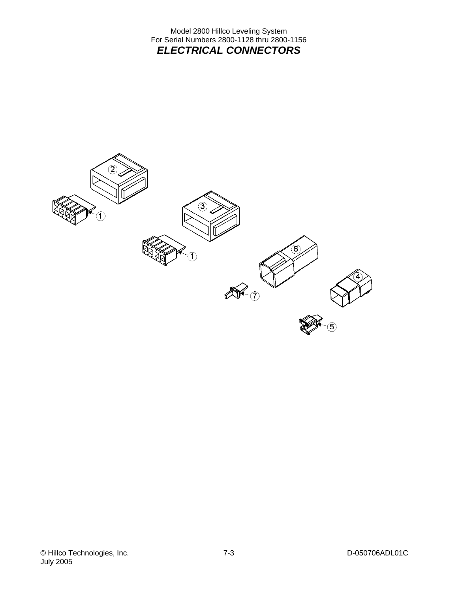Model 2800 Hillco Leveling System For Serial Numbers 2800-1128 thru 2800-1156 *ELECTRICAL CONNECTORS* 

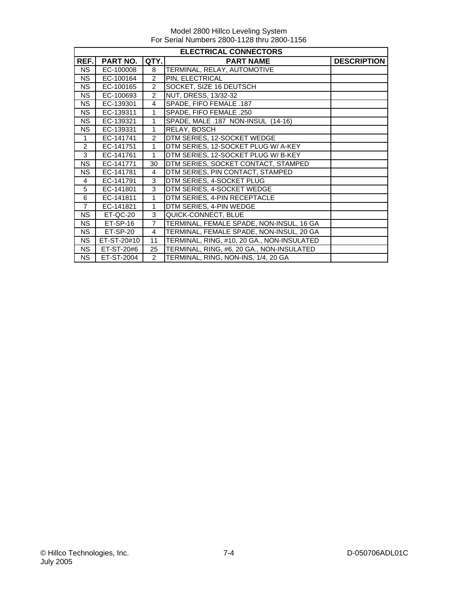|                | <b>ELECTRICAL CONNECTORS</b> |                                                |                                            |  |  |  |
|----------------|------------------------------|------------------------------------------------|--------------------------------------------|--|--|--|
| REF.           | PART NO.                     | QTY.<br><b>DESCRIPTION</b><br><b>PART NAME</b> |                                            |  |  |  |
| <b>NS</b>      | EC-100008                    | 8                                              | TERMINAL, RELAY, AUTOMOTIVE                |  |  |  |
| <b>NS</b>      | EC-100164                    | $\overline{2}$                                 | PIN, ELECTRICAL                            |  |  |  |
| <b>NS</b>      | EC-100165                    | $\overline{2}$                                 | SOCKET, SIZE 16 DEUTSCH                    |  |  |  |
| NS             | EC-100693                    | $\overline{2}$                                 | <b>NUT, DRESS, 13/32-32</b>                |  |  |  |
| <b>NS</b>      | EC-139301                    | 4                                              | SPADE, FIFO FEMALE .187                    |  |  |  |
| <b>NS</b>      | EC-139311                    | $\mathbf{1}$                                   | SPADE, FIFO FEMALE .250                    |  |  |  |
| <b>NS</b>      | EC-139321                    | 1                                              | SPADE, MALE .187 NON-INSUL (14-16)         |  |  |  |
| <b>NS</b>      | EC-139331                    | 1                                              | RELAY, BOSCH                               |  |  |  |
| $\mathbf 1$    | EC-141741                    | $\overline{2}$                                 | DTM SERIES, 12-SOCKET WEDGE                |  |  |  |
| $\overline{2}$ | EC-141751                    | 1                                              | DTM SERIES, 12-SOCKET PLUG W/ A-KEY        |  |  |  |
| 3              | EC-141761                    | 1                                              | DTM SERIES, 12-SOCKET PLUG W/ B-KEY        |  |  |  |
| <b>NS</b>      | EC-141771                    | 30                                             | DTM SERIES, SOCKET CONTACT, STAMPED        |  |  |  |
| <b>NS</b>      | EC-141781                    | 4                                              | DTM SERIES, PIN CONTACT, STAMPED           |  |  |  |
| $\overline{4}$ | EC-141791                    | 3                                              | DTM SERIES, 4-SOCKET PLUG                  |  |  |  |
| 5              | EC-141801                    | 3                                              | DTM SERIES, 4-SOCKET WEDGE                 |  |  |  |
| 6              | EC-141811                    | 1                                              | DTM SERIES, 4-PIN RECEPTACLE               |  |  |  |
| $\overline{7}$ | EC-141821                    | 1                                              | DTM SERIES, 4-PIN WEDGE                    |  |  |  |
| <b>NS</b>      | ET-QC-20                     | 3                                              | QUICK-CONNECT, BLUE                        |  |  |  |
| <b>NS</b>      | ET-SP-16                     | $\overline{7}$                                 | TERMINAL, FEMALE SPADE, NON-INSUL, 16 GA   |  |  |  |
| <b>NS</b>      | ET-SP-20                     | 4                                              | TERMINAL, FEMALE SPADE, NON-INSUL, 20 GA   |  |  |  |
| <b>NS</b>      | ET-ST-20#10                  | 11                                             | TERMINAL, RING, #10, 20 GA., NON-INSULATED |  |  |  |
| <b>NS</b>      | ET-ST-20#6                   | 25                                             | TERMINAL, RING, #6, 20 GA., NON-INSULATED  |  |  |  |
| <b>NS</b>      | ET-ST-2004                   | $\overline{2}$                                 | TERMINAL, RING, NON-INS, 1/4, 20 GA        |  |  |  |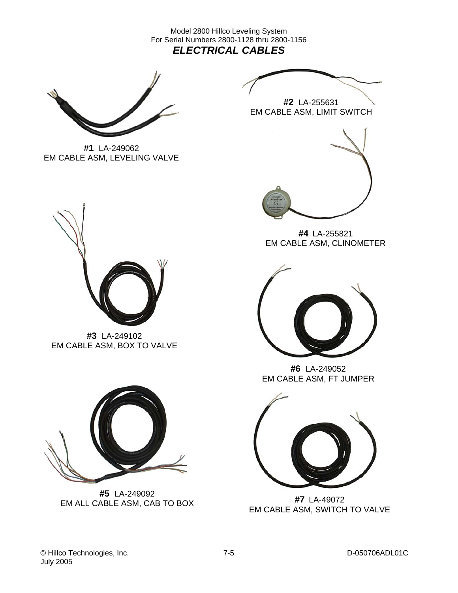Model 2800 Hillco Leveling System For Serial Numbers 2800-1128 thru 2800-1156 *ELECTRICAL CABLES* 



**#1** LA-249062 EM CABLE ASM, LEVELING VALVE



**#2** LA-255631 EM CABLE ASM, LIMIT SWITCH



**#4** LA-255821 EM CABLE ASM, CLINOMETER



**#3** LA-249102 EM CABLE ASM, BOX TO VALVE



**#5** LA-249092 EM ALL CABLE ASM, CAB TO BOX **#7** LA-49072



**#6** LA-249052 EM CABLE ASM, FT JUMPER



EM CABLE ASM, SWITCH TO VALVE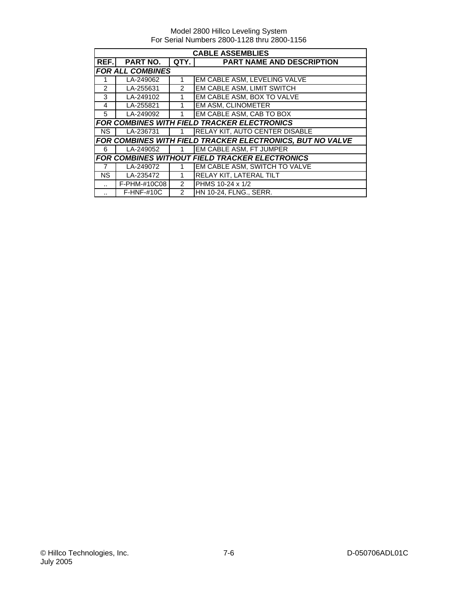|                      | <b>CABLE ASSEMBLIES</b>                                   |               |                                                    |  |  |  |
|----------------------|-----------------------------------------------------------|---------------|----------------------------------------------------|--|--|--|
| REF.I                | <b>PART NO.</b>                                           | QTY.          | <b>PART NAME AND DESCRIPTION</b>                   |  |  |  |
|                      | <b>FOR ALL COMBINES</b>                                   |               |                                                    |  |  |  |
|                      | LA-249062                                                 | 1             | EM CABLE ASM, LEVELING VALVE                       |  |  |  |
| $\mathcal{P}$        | LA-255631                                                 | 2             | EM CABLE ASM, LIMIT SWITCH                         |  |  |  |
| 3                    | LA-249102                                                 | 1             | EM CABLE ASM, BOX TO VALVE                         |  |  |  |
| $\overline{4}$       | LA-255821                                                 | 1             | <b>EM ASM, CLINOMETER</b>                          |  |  |  |
| 5                    | LA-249092                                                 | 1             | EM CABLE ASM, CAB TO BOX                           |  |  |  |
|                      |                                                           |               | <b>FOR COMBINES WITH FIELD TRACKER ELECTRONICS</b> |  |  |  |
| NS.                  | LA-236731                                                 |               | <b>RELAY KIT, AUTO CENTER DISABLE</b>              |  |  |  |
|                      | FOR COMBINES WITH FIELD TRACKER ELECTRONICS, BUT NO VALVE |               |                                                    |  |  |  |
| 6                    | LA-249052                                                 | $\mathbf{1}$  | <b>EM CABLE ASM, FT JUMPER</b>                     |  |  |  |
|                      | <b>FOR COMBINES WITHOUT FIELD TRACKER ELECTRONICS</b>     |               |                                                    |  |  |  |
| $\overline{7}$       | LA-249072                                                 | 1             | EM CABLE ASM, SWITCH TO VALVE                      |  |  |  |
| <b>NS</b>            | $\overline{\text{LA}}$ -235472                            | 1             | <b>RELAY KIT, LATERAL TILT</b>                     |  |  |  |
|                      | F-PHM-#10C08                                              | 2             | PHMS 10-24 x 1/2                                   |  |  |  |
| $\ddot{\phantom{a}}$ | $F-HNF-#10C$                                              | $\mathcal{P}$ | <b>HN 10-24, FLNG., SERR.</b>                      |  |  |  |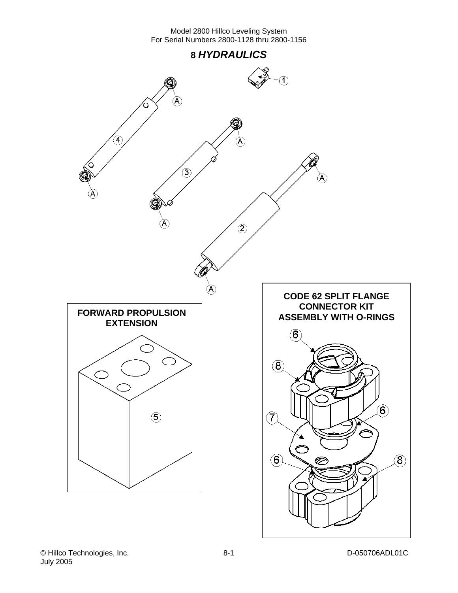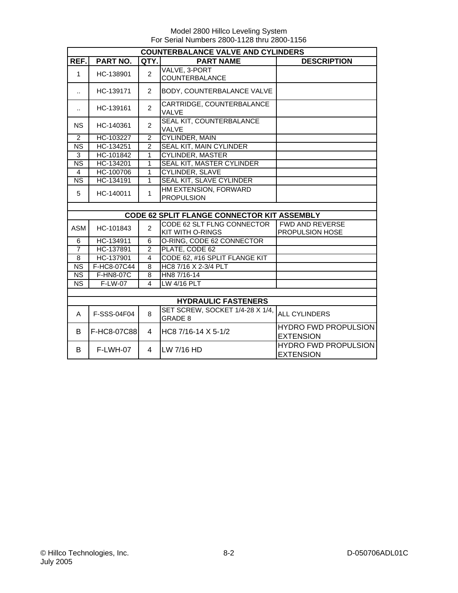|                        | <b>COUNTERBALANCE VALVE AND CYLINDERS</b> |                |                                                       |                                                  |  |  |  |
|------------------------|-------------------------------------------|----------------|-------------------------------------------------------|--------------------------------------------------|--|--|--|
| REF.                   | <b>PART NO.</b>                           | QTY.           | <b>PART NAME</b>                                      | <b>DESCRIPTION</b>                               |  |  |  |
| 1                      | HC-138901                                 | $\overline{2}$ | VALVE, 3-PORT<br>COUNTERBALANCE                       |                                                  |  |  |  |
| $\ddot{\phantom{a}}$   | HC-139171                                 | $\mathcal{P}$  | BODY, COUNTERBALANCE VALVE                            |                                                  |  |  |  |
| $\ddot{\phantom{a}}$   | HC-139161                                 | $\overline{2}$ | CARTRIDGE, COUNTERBALANCE<br>VALVE                    |                                                  |  |  |  |
| <b>NS</b>              | HC-140361                                 | $\overline{2}$ | SEAL KIT, COUNTERBALANCE<br><b>VALVE</b>              |                                                  |  |  |  |
| 2                      | HC-103227                                 | $\overline{2}$ | <b>CYLINDER, MAIN</b>                                 |                                                  |  |  |  |
| <b>NS</b>              | HC-134251                                 | $\overline{2}$ | SEAL KIT, MAIN CYLINDER                               |                                                  |  |  |  |
| $\overline{3}$         | HC-101842                                 | 1              | <b>CYLINDER, MASTER</b>                               |                                                  |  |  |  |
| $\overline{\text{NS}}$ | HC-134201                                 | 1              | <b>SEAL KIT, MASTER CYLINDER</b>                      |                                                  |  |  |  |
| $\overline{4}$         | HC-100706                                 | $\overline{1}$ | <b>CYLINDER, SLAVE</b>                                |                                                  |  |  |  |
| <b>NS</b>              | HC-134191                                 | $\mathbf{1}$   | SEAL KIT, SLAVE CYLINDER                              |                                                  |  |  |  |
| 5                      | HC-140011                                 | $\mathbf{1}$   | HM EXTENSION, FORWARD<br><b>PROPULSION</b>            |                                                  |  |  |  |
|                        |                                           |                |                                                       |                                                  |  |  |  |
|                        |                                           |                | <b>CODE 62 SPLIT FLANGE CONNECTOR KIT ASSEMBLY</b>    |                                                  |  |  |  |
| ASM                    | HC-101843                                 | $\overline{2}$ | CODE 62 SLT FLNG CONNECTOR<br><b>KIT WITH O-RINGS</b> | <b>FWD AND REVERSE</b><br><b>PROPULSION HOSE</b> |  |  |  |
| 6                      | HC-134911                                 | 6              | O-RING, CODE 62 CONNECTOR                             |                                                  |  |  |  |
| $\overline{7}$         | HC-137891                                 | $\overline{2}$ | PLATE, CODE 62                                        |                                                  |  |  |  |
| 8                      | HC-137901                                 | 4              | CODE 62, #16 SPLIT FLANGE KIT                         |                                                  |  |  |  |
| <b>NS</b>              | F-HC8-07C44                               | 8              | HC8 7/16 X 2-3/4 PLT                                  |                                                  |  |  |  |
| <b>NS</b>              | F-HN8-07C                                 | 8              | HN8 7/16-14                                           |                                                  |  |  |  |
| <b>NS</b>              | F-LW-07                                   | $\overline{4}$ | LW 4/16 PLT                                           |                                                  |  |  |  |
|                        |                                           |                |                                                       |                                                  |  |  |  |
|                        |                                           |                | <b>HYDRAULIC FASTENERS</b>                            |                                                  |  |  |  |
| A                      | F-SSS-04F04                               | 8              | SET SCREW, SOCKET 1/4-28 X 1/4,<br>GRADE 8            | ALL CYLINDERS                                    |  |  |  |
| B                      | F-HC8-07C88                               | 4              | HC8 7/16-14 X 5-1/2                                   | <b>HYDRO FWD PROPULSION</b><br><b>EXTENSION</b>  |  |  |  |
| B                      | F-LWH-07                                  | 4              | LW 7/16 HD                                            | <b>HYDRO FWD PROPULSION</b><br><b>EXTENSION</b>  |  |  |  |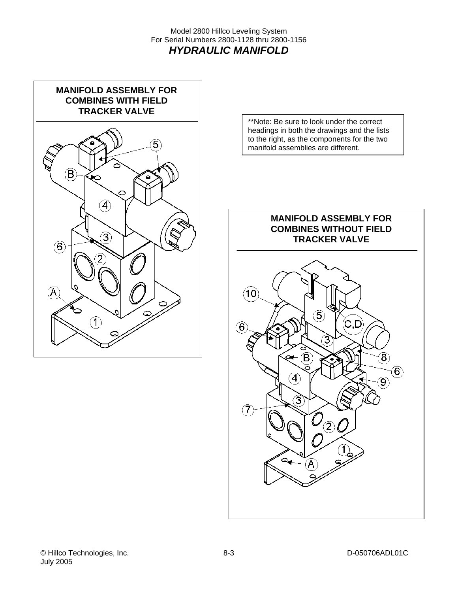Model 2800 Hillco Leveling System For Serial Numbers 2800-1128 thru 2800-1156 *HYDRAULIC MANIFOLD* 



\*\*Note: Be sure to look under the correct headings in both the drawings and the lists to the right, as the components for the two manifold assemblies are different.

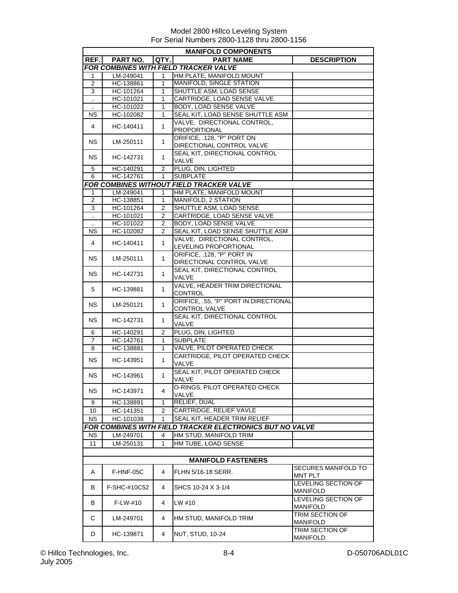|                      | <b>MANIFOLD COMPONENTS</b> |                |                                                          |                     |  |  |
|----------------------|----------------------------|----------------|----------------------------------------------------------|---------------------|--|--|
| REF.                 | PART NO.                   | QTY.           | <b>PART NAME</b>                                         | <b>DESCRIPTION</b>  |  |  |
|                      |                            |                | FOR COMBINES WITH FIELD TRACKER VALVE                    |                     |  |  |
| 1                    | LM-249041                  | 1              | HM PLATE, MANIFOLD MOUNT                                 |                     |  |  |
| $\overline{2}$       | HC-138861                  | 1              | MANIFOLD, SINGLE STATION                                 |                     |  |  |
| 3                    | HC-101264                  | 1              | SHUTTLE ASM. LOAD SENSE                                  |                     |  |  |
| Ω.                   | HC-101021                  | 1              | CARTRIDGE, LOAD SENSE VALVE                              |                     |  |  |
| $\ddot{\phantom{a}}$ | HC-101022                  | 1              | BODY, LOAD SENSE VALVE                                   |                     |  |  |
| ΝS                   | HC-102082                  | 1              | SEAL KIT, LOAD SENSE SHUTTLE ASM                         |                     |  |  |
|                      |                            |                | VALVE, DIRECTIONAL CONTROL,                              |                     |  |  |
| $\overline{4}$       | HC-140411                  | 1              | <b>PROPORTIONAL</b>                                      |                     |  |  |
|                      |                            |                | ORIFICE, .128, "P" PORT ON                               |                     |  |  |
| NS.                  | LM-250111                  | $\mathbf{1}$   | DIRECTIONAL CONTROL VALVE                                |                     |  |  |
|                      |                            |                | SEAL KIT, DIRECTIONAL CONTROL                            |                     |  |  |
| NS.                  | HC-142731                  | 1              | <b>VALVE</b>                                             |                     |  |  |
| 5                    | HC-140291                  | $\overline{2}$ | PLUG, DIN, LIGHTED                                       |                     |  |  |
| 6                    | HC-142761                  | 1              | <b>SUBPLATE</b>                                          |                     |  |  |
|                      |                            |                | <b>FOR COMBINES WITHOUT FIELD TRACKER VALVE</b>          |                     |  |  |
| $\mathbf{1}$         | LM-249041                  | 1              | HM PLATE, MANIFOLD MOUNT                                 |                     |  |  |
| $\overline{2}$       | HC-138851                  | 1              | <b>MANIFOLD, 2 STATION</b>                               |                     |  |  |
| 3                    | HC-101264                  | $\overline{2}$ | SHUTTLE ASM, LOAD SENSE                                  |                     |  |  |
| $\ddotsc$            | HC-101021                  | 2              | CARTRIDGE, LOAD SENSE VALVE                              |                     |  |  |
| $\ddotsc$            | HC-101022                  | $\overline{2}$ | BODY, LOAD SENSE VALVE                                   |                     |  |  |
| ΝS                   | HC-102082                  | 2              | SEAL KIT, LOAD SENSE SHUTTLE ASM                         |                     |  |  |
|                      |                            |                | VALVE. DIRECTIONAL CONTROL.                              |                     |  |  |
| $\overline{4}$       | HC-140411                  | $\mathbf{1}$   | LEVELING PROPORTIONAL                                    |                     |  |  |
|                      |                            |                | ORIFICE, .128, "P" PORT IN                               |                     |  |  |
| NS.                  | LM-250111                  | $\mathbf{1}$   | DIRECTIONAL CONTROL VALVE                                |                     |  |  |
|                      |                            |                |                                                          |                     |  |  |
| NS.                  | HC-142731                  | $\mathbf{1}$   | SEAL KIT, DIRECTIONAL CONTROL                            |                     |  |  |
|                      |                            |                | VALVE                                                    |                     |  |  |
| 5                    | HC-139881                  | $\mathbf{1}$   | VALVE, HEADER TRIM DIRECTIONAL                           |                     |  |  |
|                      |                            |                | CONTROL                                                  |                     |  |  |
| NS.                  | LM-250121                  | 1              | ORIFICE, .55, "P" PORT IN DIRECTIONAL                    |                     |  |  |
|                      |                            |                | CONTROL VALVE                                            |                     |  |  |
| NS.                  | HC-142731                  | 1              | SEAL KIT, DIRECTIONAL CONTROL                            |                     |  |  |
|                      |                            |                | VALVE                                                    |                     |  |  |
| 6                    | HC-140291                  | $\overline{2}$ | PLUG, DIN, LIGHTED                                       |                     |  |  |
| 7                    | HC-142761                  | 1              | <b>SUBPLATE</b>                                          |                     |  |  |
| 8                    | HC-138881                  | 1              | <b>VALVE, PILOT OPERATED CHECK</b>                       |                     |  |  |
| NS.                  | HC-143951                  | $\mathbf{1}$   | CARTRIDGE, PILOT OPERATED CHECK                          |                     |  |  |
|                      |                            |                | VALVE                                                    |                     |  |  |
| NS.                  | HC-143961                  | 1              | SEAL KIT, PILOT OPERATED CHECK                           |                     |  |  |
|                      |                            |                | VALVE                                                    |                     |  |  |
| <b>NS</b>            | HC-143971                  | 4              | O-RINGS, PILOT OPERATED CHECK                            |                     |  |  |
|                      |                            |                | VALVE                                                    |                     |  |  |
| 9                    | HC-138891                  | 1              | <b>RELIEF, DUAL</b>                                      |                     |  |  |
| 10                   | HC-141351                  | 2              | CARTRIDGE, RELIEF VAVLE                                  |                     |  |  |
| <b>NS</b>            | HC-101038                  | 1              | SEAL KIT, HEADER TRIM RELIEF                             |                     |  |  |
|                      |                            |                | FOR COMBINES WITH FIELD TRACKER ELECTRONICS BUT NO VALVE |                     |  |  |
| <b>NS</b>            | LM-249701                  | 4              | HM STUD, MANIFOLD TRIM                                   |                     |  |  |
| 11                   | LM-250131                  | 1              | HM TUBE, LOAD SENSE                                      |                     |  |  |
|                      |                            |                |                                                          |                     |  |  |
|                      |                            |                |                                                          |                     |  |  |
|                      |                            |                | <b>MANIFOLD FASTENERS</b>                                |                     |  |  |
| A                    | F-HNF-05C                  | 4              | <b>FLHN 5/16-18 SERR.</b>                                | SECURES MANIFOLD TO |  |  |
|                      |                            |                |                                                          | <b>MNT PLT</b>      |  |  |
| B                    | F-SHC-#10C52               | 4              | SHCS 10-24 X 3-1/4                                       | LEVELING SECTION OF |  |  |
|                      |                            |                |                                                          | <b>MANIFOLD</b>     |  |  |
| B                    | F-LW-#10                   | 4              | LW #10                                                   | LEVELING SECTION OF |  |  |
|                      |                            |                |                                                          | <b>MANIFOLD</b>     |  |  |
| C                    | LM-249701                  | 4              | HM STUD, MANIFOLD TRIM                                   | TRIM SECTION OF     |  |  |
|                      |                            |                |                                                          | <b>MANIFOLD</b>     |  |  |
| D                    | HC-139871                  | 4              | NUT, STUD, 10-24                                         | TRIM SECTION OF     |  |  |
|                      |                            |                |                                                          | MANIFOLD            |  |  |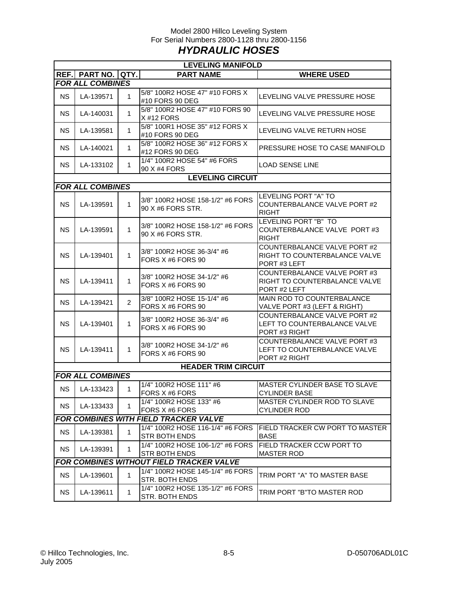## Model 2800 Hillco Leveling System For Serial Numbers 2800-1128 thru 2800-1156 *HYDRAULIC HOSES*

|           | <b>LEVELING MANIFOLD</b> |              |                                                       |                                                                                     |  |  |  |  |
|-----------|--------------------------|--------------|-------------------------------------------------------|-------------------------------------------------------------------------------------|--|--|--|--|
|           | REF. PART NO. QTY.       |              | <b>PART NAME</b>                                      | <b>WHERE USED</b>                                                                   |  |  |  |  |
|           | <b>FOR ALL COMBINES</b>  |              |                                                       |                                                                                     |  |  |  |  |
| <b>NS</b> | LA-139571                | $\mathbf{1}$ | 5/8" 100R2 HOSE 47" #10 FORS X<br>#10 FORS 90 DEG     | LEVELING VALVE PRESSURE HOSE                                                        |  |  |  |  |
| <b>NS</b> | LA-140031                | 1            | 5/8" 100R2 HOSE 47" #10 FORS 90<br>X #12 FORS         | LEVELING VALVE PRESSURE HOSE                                                        |  |  |  |  |
| <b>NS</b> | LA-139581                | $\mathbf{1}$ | 5/8" 100R1 HOSE 35" #12 FORS X<br>#10 FORS 90 DEG     | LEVELING VALVE RETURN HOSE                                                          |  |  |  |  |
| <b>NS</b> | LA-140021                | $\mathbf{1}$ | 5/8" 100R2 HOSE 36" #12 FORS X<br>#12 FORS 90 DEG     | PRESSURE HOSE TO CASE MANIFOLD                                                      |  |  |  |  |
| <b>NS</b> | LA-133102                | 1            | 1/4" 100R2 HOSE 54" #6 FORS<br>90 X #4 FORS           | <b>LOAD SENSE LINE</b>                                                              |  |  |  |  |
|           |                          |              | <b>LEVELING CIRCUIT</b>                               |                                                                                     |  |  |  |  |
|           | <b>FOR ALL COMBINES</b>  |              |                                                       |                                                                                     |  |  |  |  |
| <b>NS</b> | LA-139591                | 1            | 3/8" 100R2 HOSE 158-1/2" #6 FORS<br>90 X #6 FORS STR. | LEVELING PORT "A" TO<br>COUNTERBALANCE VALVE PORT #2<br><b>RIGHT</b>                |  |  |  |  |
| <b>NS</b> | LA-139591                | $\mathbf{1}$ | 3/8" 100R2 HOSE 158-1/2" #6 FORS<br>90 X #6 FORS STR. | LEVELING PORT "B" TO<br>COUNTERBALANCE VALVE PORT #3<br><b>RIGHT</b>                |  |  |  |  |
| <b>NS</b> | LA-139401                | $\mathbf{1}$ | 3/8" 100R2 HOSE 36-3/4" #6<br>FORS X #6 FORS 90       | <b>COUNTERBALANCE VALVE PORT #2</b><br>RIGHT TO COUNTERBALANCE VALVE<br>PORT#3 LEFT |  |  |  |  |
| <b>NS</b> | LA-139411                | $\mathbf{1}$ | 3/8" 100R2 HOSE 34-1/2" #6<br>FORS X #6 FORS 90       | COUNTERBALANCE VALVE PORT #3<br>RIGHT TO COUNTERBALANCE VALVE<br>PORT #2 LEFT       |  |  |  |  |
| <b>NS</b> | LA-139421                | 2            | 3/8" 100R2 HOSE 15-1/4" #6<br>FORS X #6 FORS 90       | MAIN ROD TO COUNTERBALANCE<br>VALVE PORT #3 (LEFT & RIGHT)                          |  |  |  |  |
| <b>NS</b> | LA-139401                | $\mathbf{1}$ | 3/8" 100R2 HOSE 36-3/4" #6<br>FORS X #6 FORS 90       | COUNTERBALANCE VALVE PORT #2<br>LEFT TO COUNTERBALANCE VALVE<br>PORT #3 RIGHT       |  |  |  |  |
| <b>NS</b> | LA-139411                | $\mathbf{1}$ | 3/8" 100R2 HOSE 34-1/2" #6<br>FORS X #6 FORS 90       | COUNTERBALANCE VALVE PORT #3<br>LEFT TO COUNTERBALANCE VALVE<br>PORT #2 RIGHT       |  |  |  |  |
|           |                          |              | <b>HEADER TRIM CIRCUIT</b>                            |                                                                                     |  |  |  |  |
|           | <b>FOR ALL COMBINES</b>  |              |                                                       |                                                                                     |  |  |  |  |
| <b>NS</b> | LA-133423                | $\mathbf{1}$ | 1/4" 100R2 HOSE 111" #6<br>FORS X #6 FORS             | <b>MASTER CYLINDER BASE TO SLAVE</b><br><b>CYLINDER BASE</b>                        |  |  |  |  |
| <b>NS</b> | LA-133433                | 1            | 1/4" 100R2 HOSE 133" #6<br>FORS X #6 FORS             | <b>MASTER CYLINDER ROD TO SLAVE</b><br><b>CYLINDER ROD</b>                          |  |  |  |  |
|           |                          |              | <b>FOR COMBINES WITH FIELD TRACKER VALVE</b>          |                                                                                     |  |  |  |  |
| <b>NS</b> | LA-139381                | 1            | 1/4" 100R2 HOSE 116-1/4" #6 FORS<br>STR BOTH ENDS     | FIELD TRACKER CW PORT TO MASTER<br><b>BASE</b>                                      |  |  |  |  |
| <b>NS</b> | LA-139391                | $\mathbf{1}$ | 1/4" 100R2 HOSE 106-1/2" #6 FORS<br>STR BOTH ENDS     | FIELD TRACKER CCW PORT TO<br><b>MASTER ROD</b>                                      |  |  |  |  |
|           |                          |              | FOR COMBINES WITHOUT FIELD TRACKER VALVE              |                                                                                     |  |  |  |  |
| <b>NS</b> | LA-139601                | 1            | 1/4" 100R2 HOSE 145-1/4" #6 FORS<br>STR. BOTH ENDS    | TRIM PORT "A" TO MASTER BASE                                                        |  |  |  |  |
| <b>NS</b> | LA-139611                | 1            | 1/4" 100R2 HOSE 135-1/2" #6 FORS<br>STR. BOTH ENDS    | TRIM PORT "B"TO MASTER ROD                                                          |  |  |  |  |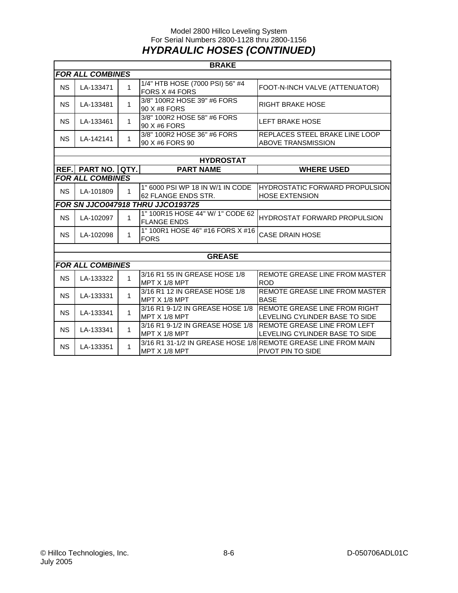## Model 2800 Hillco Leveling System For Serial Numbers 2800-1128 thru 2800-1156 *HYDRAULIC HOSES (CONTINUED)*

|           | <b>BRAKE</b>            |              |                                                         |                                                                                     |  |  |
|-----------|-------------------------|--------------|---------------------------------------------------------|-------------------------------------------------------------------------------------|--|--|
|           | <b>FOR ALL COMBINES</b> |              |                                                         |                                                                                     |  |  |
| <b>NS</b> | LA-133471               | 1            | 1/4" HTB HOSE (7000 PSI) 56" #4<br>FORS X #4 FORS       | FOOT-N-INCH VALVE (ATTENUATOR)                                                      |  |  |
| <b>NS</b> | LA-133481               | $\mathbf{1}$ | 3/8" 100R2 HOSE 39" #6 FORS<br>90 X #8 FORS             | <b>RIGHT BRAKE HOSE</b>                                                             |  |  |
| <b>NS</b> | LA-133461               | 1            | 3/8" 100R2 HOSE 58" #6 FORS<br>90 X #6 FORS             | <b>LEFT BRAKE HOSE</b>                                                              |  |  |
| <b>NS</b> | LA-142141               | $\mathbf{1}$ | 3/8" 100R2 HOSE 36" #6 FORS<br>90 X #6 FORS 90          | <b>REPLACES STEEL BRAKE LINE LOOP</b><br><b>ABOVE TRANSMISSION</b>                  |  |  |
|           |                         |              |                                                         |                                                                                     |  |  |
|           |                         |              | <b>HYDROSTAT</b>                                        |                                                                                     |  |  |
| REF.I     | PART NO.                | QTY.         | <b>PART NAME</b>                                        | <b>WHERE USED</b>                                                                   |  |  |
|           | <b>FOR ALL COMBINES</b> |              |                                                         |                                                                                     |  |  |
| <b>NS</b> | LA-101809               | $\mathbf{1}$ | 1" 6000 PSI WP 18 IN W/1 IN CODE<br>62 FLANGE ENDS STR. | <b>HYDROSTATIC FORWARD PROPULSION</b><br><b>HOSE EXTENSION</b>                      |  |  |
|           |                         |              | FOR SN JJCO047918 THRU JJCO193725                       |                                                                                     |  |  |
| <b>NS</b> | LA-102097               | 1            | 1" 100R15 HOSE 44" W/ 1" CODE 62<br><b>FLANGE ENDS</b>  | <b>HYDROSTAT FORWARD PROPULSION</b>                                                 |  |  |
| <b>NS</b> | LA-102098               | 1            | 1" 100R1 HOSE 46" #16 FORS X #16<br><b>FORS</b>         | <b>CASE DRAIN HOSE</b>                                                              |  |  |
|           |                         |              |                                                         |                                                                                     |  |  |
|           |                         |              | <b>GREASE</b>                                           |                                                                                     |  |  |
|           | <b>FOR ALL COMBINES</b> |              |                                                         |                                                                                     |  |  |
| <b>NS</b> | LA-133322               | 1            | 3/16 R1 55 IN GREASE HOSE 1/8<br>MPT X 1/8 MPT          | REMOTE GREASE LINE FROM MASTER<br><b>ROD</b>                                        |  |  |
| <b>NS</b> | LA-133331               | $\mathbf{1}$ | 3/16 R1 12 IN GREASE HOSE 1/8<br>MPT X 1/8 MPT          | REMOTE GREASE LINE FROM MASTER<br><b>BASE</b>                                       |  |  |
| <b>NS</b> | LA-133341               | $\mathbf{1}$ | 3/16 R1 9-1/2 IN GREASE HOSE 1/8<br>MPT X 1/8 MPT       | <b>REMOTE GREASE LINE FROM RIGHT</b><br>LEVELING CYLINDER BASE TO SIDE              |  |  |
| <b>NS</b> | LA-133341               | $\mathbf{1}$ | 3/16 R1 9-1/2 IN GREASE HOSE 1/8<br>MPT X 1/8 MPT       | <b>REMOTE GREASE LINE FROM LEFT</b><br>LEVELING CYLINDER BASE TO SIDE               |  |  |
| <b>NS</b> | LA-133351               | $\mathbf{1}$ | MPT X 1/8 MPT                                           | 3/16 R1 31-1/2 IN GREASE HOSE 1/8 REMOTE GREASE LINE FROM MAIN<br>PIVOT PIN TO SIDE |  |  |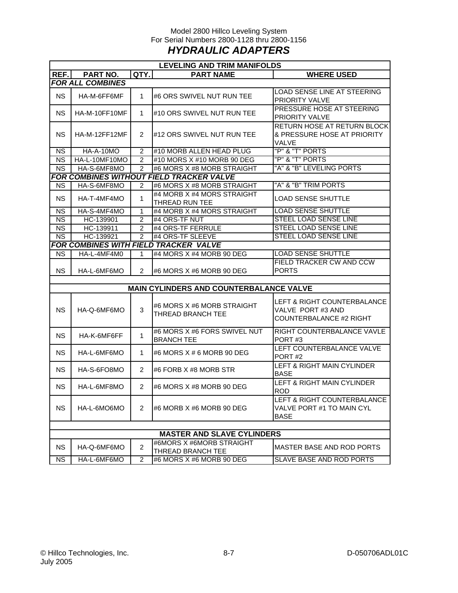## Model 2800 Hillco Leveling System For Serial Numbers 2800-1128 thru 2800-1156 *HYDRAULIC ADAPTERS*

|                        | <b>LEVELING AND TRIM MANIFOLDS</b> |                |                                                        |                                                                            |  |  |
|------------------------|------------------------------------|----------------|--------------------------------------------------------|----------------------------------------------------------------------------|--|--|
| REF.                   | PART NO.                           | QTY.           | <b>PART NAME</b>                                       | <b>WHERE USED</b>                                                          |  |  |
|                        | <b>FOR ALL COMBINES</b>            |                |                                                        |                                                                            |  |  |
| <b>NS</b>              | HA-M-6FF6MF                        | $\mathbf{1}$   | #6 ORS SWIVEL NUT RUN TEE                              | LOAD SENSE LINE AT STEERING<br>PRIORITY VALVE                              |  |  |
| <b>NS</b>              | HA-M-10FF10MF                      | 1              | #10 ORS SWIVEL NUT RUN TEE                             | PRESSURE HOSE AT STEERING<br>PRIORITY VALVE                                |  |  |
| <b>NS</b>              | HA-M-12FF12MF                      | 2              | #12 ORS SWIVEL NUT RUN TEE                             | RETURN HOSE AT RETURN BLOCK<br>& PRESSURE HOSE AT PRIORITY<br><b>VALVE</b> |  |  |
| <b>NS</b>              | HA-A-10MO                          | $\overline{c}$ | #10 MORB ALLEN HEAD PLUG                               | "P" & "T" PORTS                                                            |  |  |
| <b>NS</b>              | HA-L-10MF10MO                      | $\overline{2}$ | #10 MORS X #10 MORB 90 DEG                             | "P" & "T" PORTS                                                            |  |  |
| <b>NS</b>              | HA-S-6MF8MO                        | $\overline{2}$ | #6 MORS X #8 MORB STRAIGHT                             | "A" & "B" LEVELING PORTS                                                   |  |  |
|                        |                                    |                | FOR COMBINES WITHOUT FIELD TRACKER VALVE               |                                                                            |  |  |
| <b>NS</b>              | HA-S-6MF8MO                        | 2              | #6 MORS X #8 MORB STRAIGHT                             | "A" & "B" TRIM PORTS                                                       |  |  |
| <b>NS</b>              | HA-T-4MF4MO                        | 1              | #4 MORB X #4 MORS STRAIGHT<br>THREAD RUN TEE           | <b>LOAD SENSE SHUTTLE</b>                                                  |  |  |
| <b>NS</b>              | HA-S-4MF4MO                        | 1              | #4 MORB X #4 MORS STRAIGHT                             | <b>LOAD SENSE SHUTTLE</b>                                                  |  |  |
| <b>NS</b>              | HC-139901                          | $\overline{2}$ | #4 ORS-TF NUT                                          | <b>STEEL LOAD SENSE LINE</b>                                               |  |  |
| $\overline{\text{NS}}$ | HC-139911                          | $\overline{2}$ | #4 ORS-TF FERRULE                                      | <b>STEEL LOAD SENSE LINE</b>                                               |  |  |
| <b>NS</b>              | HC-139921                          | $\overline{2}$ | #4 ORS-TF SLEEVE                                       | <b>STEEL LOAD SENSE LINE</b>                                               |  |  |
|                        |                                    |                | FOR COMBINES WITH FIELD TRACKER VALVE                  |                                                                            |  |  |
| <b>NS</b>              | HA-L-4MF4M0                        | 1              | #4 MORS X #4 MORB 90 DEG                               | <b>LOAD SENSE SHUTTLE</b>                                                  |  |  |
| <b>NS</b>              | HA-L-6MF6MO                        | $\overline{2}$ | #6 MORS X #6 MORB 90 DEG                               | <b>FIELD TRACKER CW AND CCW</b><br><b>PORTS</b>                            |  |  |
|                        |                                    |                |                                                        |                                                                            |  |  |
|                        |                                    |                | <b>MAIN CYLINDERS AND COUNTERBALANCE VALVE</b>         |                                                                            |  |  |
| <b>NS</b>              | HA-Q-6MF6MO                        | 3              | #6 MORS X #6 MORB STRAIGHT<br><b>THREAD BRANCH TEE</b> | LEFT & RIGHT COUNTERBALANCE<br>VALVE PORT#3 AND<br>COUNTERBALANCE #2 RIGHT |  |  |
| <b>NS</b>              | HA-K-6MF6FF                        | 1              | #6 MORS X #6 FORS SWIVEL NUT<br><b>BRANCH TEE</b>      | RIGHT COUNTERBALANCE VAVLE<br>PORT#3                                       |  |  |
| <b>NS</b>              | HA-L-6MF6MO                        | 1              | #6 MORS X # 6 MORB 90 DEG                              | LEFT COUNTERBALANCE VALVE<br>PORT#2                                        |  |  |
| <b>NS</b>              | HA-S-6FO8MO                        | $\overline{2}$ | #6 FORB X #8 MORB STR                                  | LEFT & RIGHT MAIN CYLINDER<br><b>BASE</b>                                  |  |  |
| <b>NS</b>              | HA-L-6MF8MO                        | $\overline{2}$ | #6 MORS X #8 MORB 90 DEG                               | <b>LEFT &amp; RIGHT MAIN CYLINDER</b><br><b>ROD</b>                        |  |  |
| <b>NS</b>              | HA-L-6MO6MO                        | $\overline{2}$ | #6 MORB X #6 MORB 90 DEG                               | LEFT & RIGHT COUNTERBALANCE<br>VALVE PORT #1 TO MAIN CYL<br><b>BASE</b>    |  |  |
|                        |                                    |                |                                                        |                                                                            |  |  |
|                        |                                    |                | <b>MASTER AND SLAVE CYLINDERS</b>                      |                                                                            |  |  |
| <b>NS</b>              | HA-Q-6MF6MO                        | $\overline{a}$ | #6MORS X #6MORB STRAIGHT<br>THREAD BRANCH TEE          | MASTER BASE AND ROD PORTS                                                  |  |  |
| <b>NS</b>              | HA-L-6MF6MO                        | $\overline{c}$ | #6 MORS X #6 MORB 90 DEG                               | <b>SLAVE BASE AND ROD PORTS</b>                                            |  |  |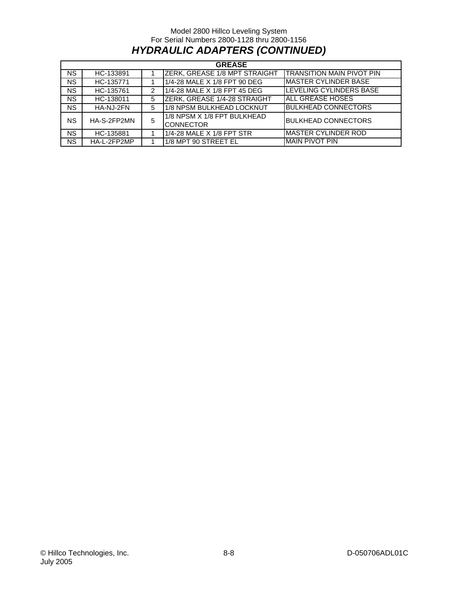## Model 2800 Hillco Leveling System For Serial Numbers 2800-1128 thru 2800-1156 *HYDRAULIC ADAPTERS (CONTINUED)*

|           | <b>GREASE</b> |   |                                                 |                                  |  |  |
|-----------|---------------|---|-------------------------------------------------|----------------------------------|--|--|
| <b>NS</b> | HC-133891     |   | <b>ZERK, GREASE 1/8 MPT STRAIGHT</b>            | <b>TRANSITION MAIN PIVOT PIN</b> |  |  |
| <b>NS</b> | HC-135771     |   | 1/4-28 MALE X 1/8 FPT 90 DEG                    | <b>MASTER CYLINDER BASE</b>      |  |  |
| <b>NS</b> | HC-135761     | 2 | 1/4-28 MALE X 1/8 FPT 45 DEG                    | LEVELING CYLINDERS BASE          |  |  |
| <b>NS</b> | HC-138011     | 5 | <b>ZERK, GREASE 1/4-28 STRAIGHT</b>             | ALL GREASE HOSES                 |  |  |
| <b>NS</b> | HA-NJ-2FN     | 5 | 1/8 NPSM BULKHEAD LOCKNUT                       | <b>BULKHEAD CONNECTORS</b>       |  |  |
| <b>NS</b> | HA-S-2FP2MN   | 5 | 1/8 NPSM X 1/8 FPT BULKHEAD<br><b>CONNECTOR</b> | <b>BULKHEAD CONNECTORS</b>       |  |  |
| <b>NS</b> | HC-135881     |   | 1/4-28 MALE X 1/8 FPT STR                       | <b>MASTER CYLINDER ROD</b>       |  |  |
| <b>NS</b> | HA-L-2FP2MP   |   | 1/8 MPT 90 STREET EL                            | <b>MAIN PIVOT PIN</b>            |  |  |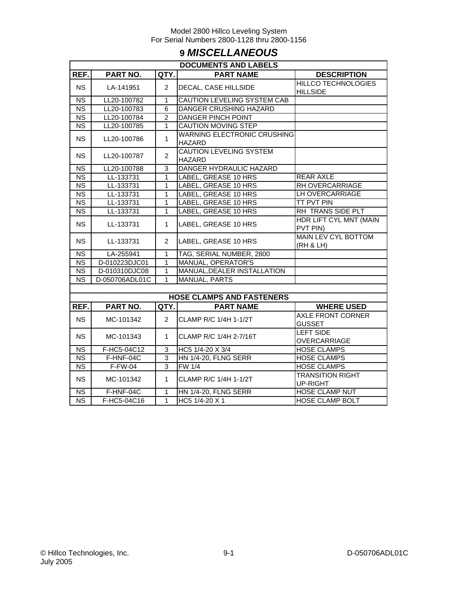## **9** *MISCELLANEOUS*

|                        | <b>DOCUMENTS AND LABELS</b> |                |                                                     |                                               |  |  |  |
|------------------------|-----------------------------|----------------|-----------------------------------------------------|-----------------------------------------------|--|--|--|
| REF.                   | PART NO.                    | QTY.           | <b>PART NAME</b>                                    | <b>DESCRIPTION</b>                            |  |  |  |
| <b>NS</b>              | LA-141951                   | $\overline{2}$ | DECAL, CASE HILLSIDE                                | <b>HILLCO TECHNOLOGIES</b><br><b>HILLSIDE</b> |  |  |  |
| $\overline{\text{NS}}$ | LL20-100782                 | $\mathbf{1}$   | CAUTION LEVELING SYSTEM CAB                         |                                               |  |  |  |
| <b>NS</b>              | LL20-100783                 | 6              | <b>DANGER CRUSHING HAZARD</b>                       |                                               |  |  |  |
| $\overline{\text{NS}}$ | LL20-100784                 | $\overline{2}$ | <b>DANGER PINCH POINT</b>                           |                                               |  |  |  |
| $\overline{\text{NS}}$ | LL20-100785                 | $\mathbf{1}$   | CAUTION MOVING STEP                                 |                                               |  |  |  |
| <b>NS</b>              | LL20-100786                 | $\mathbf{1}$   | <b>WARNING ELECTRONIC CRUSHING</b><br><b>HAZARD</b> |                                               |  |  |  |
| NS.                    | LL20-100787                 | $\overline{2}$ | <b>CAUTION LEVELING SYSTEM</b><br><b>HAZARD</b>     |                                               |  |  |  |
| <b>NS</b>              | LL20-100788                 | 3              | DANGER HYDRAULIC HAZARD                             |                                               |  |  |  |
| $\overline{\text{NS}}$ | LL-133731                   | $\mathbf{1}$   | <b>LABEL, GREASE 10 HRS</b>                         | <b>REAR AXLE</b>                              |  |  |  |
| $\overline{\text{NS}}$ | LL-133731                   | $\mathbf{1}$   | LABEL, GREASE 10 HRS                                | RH OVERCARRIAGE                               |  |  |  |
| <b>NS</b>              | LL-133731                   | 1              | LABEL, GREASE 10 HRS                                | LH OVERCARRIAGE                               |  |  |  |
| <b>NS</b>              | LL-133731                   | 1              | LABEL, GREASE 10 HRS                                | <b>TT PVT PIN</b>                             |  |  |  |
| $\overline{\text{NS}}$ | LL-133731                   | $\mathbf{1}$   | LABEL, GREASE 10 HRS                                | RH TRANS SIDE PLT                             |  |  |  |
| <b>NS</b>              | LL-133731                   | $\mathbf{1}$   | LABEL, GREASE 10 HRS                                | <b>HDR LIFT CYL MNT (MAIN</b><br>PVT PIN)     |  |  |  |
| <b>NS</b>              | LL-133731                   | $\overline{2}$ | LABEL, GREASE 10 HRS                                | <b>MAIN LEV CYL BOTTOM</b><br>(RH & LH)       |  |  |  |
| <b>NS</b>              | LA-255941                   | 1              | TAG, SERIAL NUMBER, 2800                            |                                               |  |  |  |
| <b>NS</b>              | D-010223DJC01               | 1              | MANUAL, OPERATOR'S                                  |                                               |  |  |  |
| $\overline{\text{NS}}$ | D-010310DJC08               | 1              | MANUAL, DEALER INSTALLATION                         |                                               |  |  |  |
| NS.                    | D-050706ADL01C              | 1              | <b>MANUAL, PARTS</b>                                |                                               |  |  |  |
|                        |                             |                |                                                     |                                               |  |  |  |
|                        |                             |                | <b>HOSE CLAMPS AND FASTENERS</b>                    |                                               |  |  |  |
| REF.                   | PART NO.                    | QTY.           | <b>PART NAME</b>                                    | <b>WHERE USED</b>                             |  |  |  |
| <b>NS</b>              | MC-101342                   | $\overline{2}$ | CLAMP R/C 1/4H 1-1/2T                               | <b>AXLE FRONT CORNER</b><br><b>GUSSET</b>     |  |  |  |
| <b>NS</b>              | MC-101343                   | $\mathbf{1}$   | CLAMP R/C 1/4H 2-7/16T                              | <b>LEFT SIDE</b><br><b>OVERCARRIAGE</b>       |  |  |  |
| <b>NS</b>              | F-HC5-04C12                 | 3              | HC5 1/4-20 X 3/4                                    | <b>HOSE CLAMPS</b>                            |  |  |  |
| <b>NS</b>              | F-HNF-04C                   | 3              | <b>HN 1/4-20, FLNG SERR</b>                         | <b>HOSE CLAMPS</b>                            |  |  |  |
| $\overline{\text{NS}}$ | $F-FW-04$                   | 3              | <b>FW 1/4</b>                                       | <b>HOSE CLAMPS</b>                            |  |  |  |
| <b>NS</b>              | MC-101342                   | $\mathbf{1}$   | CLAMP R/C 1/4H 1-1/2T                               | <b>TRANSITION RIGHT</b><br><b>UP-RIGHT</b>    |  |  |  |
| $\overline{\text{NS}}$ | F-HNF-04C                   | 1              | <b>HN 1/4-20, FLNG SERR</b>                         | <b>HOSE CLAMP NUT</b>                         |  |  |  |
| $\overline{\text{NS}}$ | F-HC5-04C16                 | 1              | HC5 1/4-20 X 1                                      | <b>HOSE CLAMP BOLT</b>                        |  |  |  |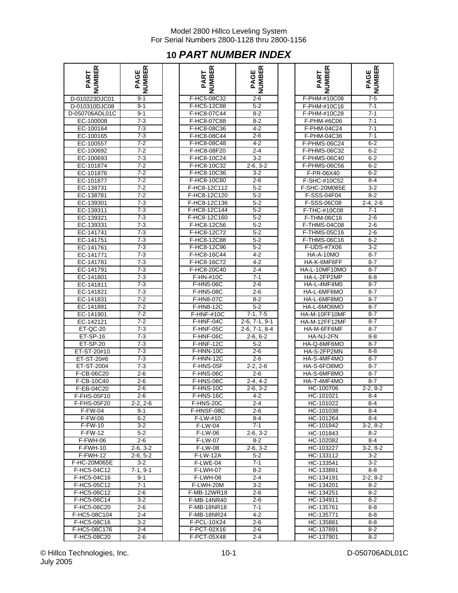## **10** *PART NUMBER INDEX*

| œ<br>щ<br>PART  | œ<br>AGE<br>ш<br>≏ |
|-----------------|--------------------|
| D-010223DJC01   | 9-1                |
| D-010310DJC08   | $9-1$              |
| D-050706ADL01C  | $9 - 1$            |
|                 |                    |
| EC-100008       | $7 - 3$            |
| EC-100164       | 7-3                |
| EC-100165       | 7-3                |
| EC-100557       | $7 - 2$            |
| EC-100692       | $7 - 2$            |
| EC-100693       | $7-3$              |
|                 |                    |
| EC-101874       | $7 - 2$            |
| EC-101876       | $7-2$              |
| EC-101877       | $7-2$              |
| EC-138731       | $7-2$              |
| EC-138781       | $7 - 2$            |
| EC-139301       | $7 - 3$            |
|                 |                    |
| EC-139311       | $7-3$              |
| EC-139321       | $7-3$              |
| EC-139331       | $7-3$              |
| EС<br>-141741   | $7-3$              |
| EC<br>$-141751$ | $7 - 3$            |
|                 |                    |
| EC-141761       | $7-3$              |
| $-141771$<br>EС | $7-3$              |
| EC-141781       | $7-3$              |
| EC-141791       | $7-3$              |
| EС<br>-141801   | $7-3$              |
| EC-141811       | 7-3                |
|                 |                    |
| EC-141821       | $7-3$              |
| EC-141831       | $7-2$              |
| EC-141891       | $\overline{7-2}$   |
| EC-141901       | $7 - 2$            |
| EC-142121       | $7 - 2$            |
| ET-QC-20        | $7 - 3$            |
|                 |                    |
| $ET-SP-16$      | $7-3$              |
| ET-SP-20        | $7 - 3$            |
| ET-ST-20#10     | $7-3$              |
| ET-ST-20#6      | $7-3$              |
| ET-ST-2004      | $7-3$              |
| F-CB-06C20      | $2 - 6$            |
|                 |                    |
| F-CB-10C40      | 2-6                |
| F-EB-04C20      | $2 - 6$            |
| F-FHS-05F10     | $2 - 6$            |
| F-FHS-05F20     | $2 - 2, 2 - 6$     |
| <b>F-FW-04</b>  | $9 - 1$            |
| <b>F-FW-06</b>  | $6 - 2$            |
|                 |                    |
| <b>F-FW-10</b>  | 3-2                |
| F-FW-12         | $5 - 2$            |
| F-FWH-06        | 2-6                |
| F-FWH-10        | $2-6, 3-2$         |
| F-FWH-12        | $2 - 6, 5 - 2$     |
| F-HC-20M065E    | $3-2$              |
|                 | 7-1, 9-1           |
| F-HC5-04C12     |                    |
| F-HC5-04C16     | 9-1                |
| F-HC5-05C12     | $7 - 1$            |
| F-HC5-06C12     | $2-6$              |
| F-HC5-06C14     | 3-2                |
| F-HC5-06C20     | 2-6                |
|                 |                    |
| F-HC5-08C104    | 2-4                |
| F-HC5-08C16     | $3-2$              |
| F-HC5-08C176    | 2-4                |
| F-HC5-08C20     | $2-6$              |

| <b>NUMBER</b><br>PART    | <b>PAGE<br/>NUMBER</b> | NUMBER<br>PART          | <b>PAGE<br/>NUMBER</b>   | <b>NUMBER</b><br>PART      | <b>PAGE<br/>NUMBER</b> |
|--------------------------|------------------------|-------------------------|--------------------------|----------------------------|------------------------|
| D-010223DJC01            | $9 - 1$                | F-HC5-08C32             | $2 - 6$                  | F-PHM-#10C08               | $7-5$                  |
| D-010310DJC08            | $9 - 1$                | F-HC5-12C88             | $5 - 2$                  | F-PHM-#10C16               | $7-1$                  |
| D-050706ADL01C           | $9 - 1$                | F-HC8-07C44             | $8 - 2$                  | F-PHM-#10C28               | $7 - 1$                |
| EC-100008                | $7 - 3$                | F-HC8-07C88             | $8 - 2$                  | F-PHM-#6C06                | $7-1$                  |
| EC-100164                | $7 - 3$                | F-HC8-08C36             | $4 - 2$                  | F-PHM-04C24                | $7 - 1$                |
| EC-100165                | $7 - 3$                | F-HC8-08C44             | $2 - 6$                  | F-PHM-04C36                | $7 - 1$                |
| EC-100557                | $7 - 2$                | F-HC8-08C48             | 4-2                      | F-PHMS-06C24               | $6-2$                  |
| EC-100692                | $7 - 2$                | F-HC8-08F20             | $2 - 4$                  | F-PHMS-06C32               | $6 - 2$                |
| EC-100693                | $7 - 3$                | F-HC8-10C24             | $3 - 2$                  | F-PHMS-06C40               | $6-2$                  |
| EC-101874                | $7-2$                  | F-HC8-10C32             | $2-6, 3-2$               | F-PHMS-06C56               | $6 - 2$                |
| EC-101876                | $7 - 2$                | F-HC8-10C36             | $3-2$                    | F-PR-06X40                 | $6 - 2$                |
| EC-101877                | $7 - 2$                | F-HC8-10C80             | $2 - 6$                  | F-SHC-#10C52               | $8 - 4$                |
| EC-138731                | $7-2$                  | F-HC8-12C112            | $5 - 2$                  | F-SHC-20M065E              | $3 - 2$                |
| EC-138781                | $7 - 2$                | F-HC8-12C120            | $5 - 2$                  | F-SSS-04F04                | $8 - 2$                |
| EC-139301                | $7 - 3$                | F-HC8-12C136            | $5 - 2$                  | F-SSS-06C08                | $2-4, 2-6$             |
| EC-139311                | $7-3$                  | F-HC8-12C144            | $5 - 2$                  | F-THC-#10C08               | $7 - 1$                |
| EC-139321                | $7 - 3$                | F-HC8-12C160            | $5 - 2$                  | F-THM-06C16                | $2 - 6$                |
| EC-139331                | $7 - 3$                | F-HC8-12C56             | $5 - 2$                  | F-THMS-04C08               | $2 - 6$                |
| EC-141741                | $7-3$                  | F-HC8-12C72             | $5 - 2$                  | F-THMS-05C16               | $2 - 6$                |
| EC-141751                | $7 - 3$                | F-HC8-12C88             | $5 - 2$                  | F-THMS-06C16               | $6-2$                  |
| EC-141761                | $7-3$                  | F-HC8-12C96             | $5 - 2$                  | F-UDS-#7X06                | $3 - 2$                |
| EC-141771                | $7 - 3$                | F-HC8-16C44             | $4 - 2$                  | HA-A-10MO                  | $8 - 7$                |
| EC-141781                | $7 - 3$                | F-HC8-16C72             | $4 - 2$                  | HA-K-6MF6FF                | $8 - 7$                |
| EC-141791                | $7 - 3$                | F-HC8-20C40             | $2 - 4$                  | HA-L-10MF10MO              | $8 - 7$                |
| EC-141801                | $7 - 3$                | $\overline{F}$ -HN-#10C | $7 - 1$                  | HA-L-2FP2MP                | $8 - 8$                |
| EC-141811                | $7-3$                  | F-HN5-06C               | $2 - 6$                  | HA-L-4MF4M0                | $8 - 7$                |
| EC-141821                | $7 - 3$                | <b>F-HN5-08C</b>        | $2 - 6$                  | HA-L-6MF6MO                | 8-7                    |
| EC-141831                | $7 - 2$                | F-HN8-07C               | $8 - 2$                  | HA-L-6MF8MO                | $8 - 7$                |
| EC-141891                | $7-2$                  | F-HN8-12C               | $5 - 2$                  | HA-L-6MO6MO                | $8 - 7$                |
| EC-141901                | $7 - 2$                | F-HNF-#10C              | $7-1, 7-5$               | HA-M-10FF10MF              | $8 - 7$                |
| EC-142121                | $7 - 2$                | F-HNF-04C               | $2-6, 7-1, 9-1$          | HA-M-12FF12MF              | $8 - 7$                |
| ET-QC-20                 | $7-3$                  | F-HNF-05C               | $2-6, 7-1, 8-4$          | HA-M-6FF6MF                | $8 - 7$                |
| ET-SP-16                 | $7 - 3$                | F-HNF-06C               | $2-6, 6-2$               | HA-NJ-2FN                  | 8-8                    |
| <b>ET-SP-20</b>          | $7 - 3$                | F-HNF-12C               | $5 - 2$                  | HA-Q-6MF6MO                | $8 - 7$                |
| ET-ST-20#10              | $7 - 3$                | F-HNN-10C               | $2 - 6$                  | HA-S-2FP2MN                | $8 - 8$                |
| ET-ST-20#6<br>ET-ST-2004 | $7 - 3$<br>$7 - 3$     | F-HNN-12C               | $2 - 6$                  | HA-S-4MF4MO<br>HA-S-6FO8MO | $8 - 7$                |
| F-CB-06C20               | $2 - 6$                | F-HNS-05F<br>F-HNS-06C  | $2-2, 2-6$<br>$2 - 6$    | HA-S-6MF8MO                | $8 - 7$<br>$8 - 7$     |
| F-CB-10C40               | $2 - 6$                | F-HNS-08C               | $2-4, 4-2$               | HA-T-4MF4MO                | $8 - 7$                |
| F-EB-04C20               | $2 - 6$                | F-HNS-10C               | $2-6, 3-2$               | HC-100706                  | $2-2, 8-2$             |
| F-FHS-05F10              | $2 - 6$                | F-HNS-16C               | $4 - 2$                  | HC-101021                  | $8 - 4$                |
| F-FHS-05F20              | 2-2, 2-6               | <b>F-HNS-20C</b>        | 2-4                      | HC-101022                  |                        |
| <b>F-FW-04</b>           | 9-1                    | F-HNSF-08C              | 2-6                      | HC-101038                  | ୪-4<br>8-4             |
| $F-FW-06$                | 6-2                    | F-LW-#10                | 8-4                      | HC-101264                  | 8-4                    |
| <b>F-FW-10</b>           | $3-2$                  | <b>F-LW-04</b>          | 7-1                      | HC-101842                  | $3-2, 8-2$             |
| <b>F-FW-12</b>           | $5 - 2$                | F-LW-06                 | $2-6, 3-2$               | HC-101843                  | 8-2                    |
| F-FWH-06                 | 2-6                    | <b>F-LW-07</b>          | 8-2                      | HC-102082                  | 8-4                    |
| F-FWH-10                 | $2-6.3-2$              | <b>F-LW-08</b>          | $2-6.3-2$                | HC-103227                  | $3-2, 8-2$             |
| F-FWH-12                 | $2-6, 5-2$             | <b>F-LW-12A</b>         | $5 - 2$                  | HC-133112                  | $3-2$                  |
| F-HC-20M065E             | 3-2                    | F-LWE-04                | $7 - 1$                  | HC-133541                  | $3-2$                  |
| F-HC5-04C12              | $7-1, 9-1$             | F-LWH-07                | 8-2                      | HC-133891                  | 8-8                    |
| F-HC5-04C16              | 9-1                    | F-LWH-08                | $2 - 4$                  | HC-134191                  | $2-2, 8-2$             |
| F-HC5-05C12              | $7 - 1$                | F-LWH-20M               | $3 - 2$                  | HC-134201                  | 8-2                    |
| F-HC5-06C12              | 2-6                    | F-MB-12WR18             | $2 - 6$                  | HC-134251                  | 8-2                    |
| F-HC5-06C14              | $3 - 2$                | F-MB-14NR40             | $2 - 6$                  | HC-134911                  | 8-2                    |
| F-HC5-06C20              | 2-6                    | F-MB-18NR18             | 7-1                      | HC-135761                  | 8-8                    |
| F-HC5-08C104             | $2 - 4$                | F-MB-18NR24             | 4-2                      | HC-135771                  | 8-8                    |
| F-HC5-08C16              | $3-2$                  | F-PCL-10X24             | $2 - 6$                  | HC-135881                  | 8-8                    |
| F-HC5-08C176             | 2-4                    | F-PCT-02X16             | 2-6                      | HC-137891                  | 8-2                    |
| <b>E HUE VOUAV</b>       | 26                     | E DCT 05V49             | $\overline{\mathcal{L}}$ | <b>HC 127001</b>           | $\overline{\circ}$     |

| ≃<br>Щ<br>PART  | ≃<br>ш<br>ш<br>তৃ<br>∢<br>σ. |
|-----------------|------------------------------|
| F-PHM-#10C08    | $7-5$                        |
| F-PHM-#10C16    | $7 - 1$                      |
| F-PHM-#10C28    | $7 - 1$                      |
| F-PHM-#6C06     | $7 - 1$                      |
| F-PHM-04C24     | $7 - 1$                      |
| F-PHM-04C36     | $7 - 1$                      |
| F-PHMS-06C24    | 6-2                          |
| F-PHMS-06C32    | $6 - 2$                      |
| F-PHMS-06C40    | $6 - 2$                      |
| F-PHMS-06C56    | 6-2                          |
| F-PR-06X40      | $6 - 2$                      |
| F-SHC-#10C52    | 8-4                          |
| F-SHC-20M065E   | 3-2                          |
| F-SSS-04F04     | $8 - 2$                      |
| F-SSS-06C08     | $2-4, 2-6$                   |
| F-THC-#10C08    | $7 - 1$                      |
| F-THM-06C16     | $2 - 6$                      |
| F-THMS-04C08    | 2-6                          |
| $F$ -THMS-05C16 | $2-6$                        |
| F-THMS-06C16    | $6 - 2$                      |
| F-UDS-#7X06     | $3-2$                        |
|                 |                              |
| HA-A-10MO       | 8-7                          |
| HA-K-6MF6FF     | 8-7                          |
| HA-L-10MF10MO   | $8 - 7$                      |
| HA-L-2FP2MP     | 8-8                          |
| HA-L-4MF4M0     | $8 - 7$                      |
| HA-L-6MF6MO     | 8-7                          |
| HA-L-6MF8MO     | 8-7                          |
| HA-L-6MO6MO     | $8 - 7$                      |
| HA-M-10FF10MF   | 8-7                          |
| HA-M-12FF12MF   | 8-7                          |
| HA-M-6FF6MF     | 8-7                          |
| HA-NJ-2FN       | 8-8                          |
| HA-Q-6MF6MO     | $8 - 7$                      |
| HA-S-2FP2MN     | $8 - 8$                      |
| HA-S-4MF4MO     | $8-7$                        |
| HA-S-6FO8MO     | $8 - 7$                      |
| HA-S-6MF8MO     | 8-7                          |
| HA-T-4MF4MO     | $8 - 7$                      |
| HC-100706       | $2-2, 8-2$                   |
| HC-101021       | 8-4                          |
| HC-101022       | 8-4                          |
| HC-101038       | 8-4                          |
| HC-101264       | $8 - 4$                      |
| HC-101842       | 3-2, 8-2                     |
| HC-101843       | 8-2                          |
| HC-102082       | 8-4                          |
| HC-103227       | $3-2.8-2$                    |
| HC-133112       | 3-2                          |
| HC-133541       | 3-2                          |
| HC-133891       | 8-8                          |
| HC-134191       | $2-2, 8-2$                   |
| HC-134201       | 8-2                          |
| HC-134251       | $8 - 2$                      |
| HC-134911       | $8-2$                        |
| HC-135761       | 8-8                          |
| HC-135771       | $8 - 8$                      |
| HC-135881       | 8-8                          |
| HC-137891       | 8-2                          |
| HC-137901       | $8-2$                        |

© Hillco Technologies, Inc. D-050706ADL01C July 2005